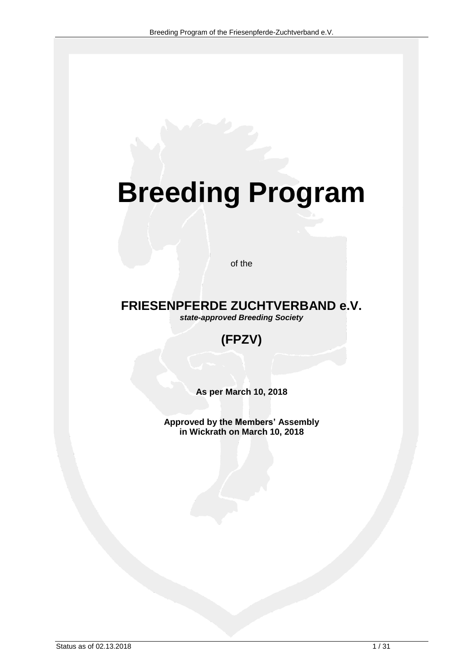# **Breeding Program**

of the

# **FRIESENPFERDE ZUCHTVERBAND e.V.**

*state-approved Breeding Society*

# **(FPZV)**

**As per March 10, 2018**

**Approved by the Members' Assembly in Wickrath on March 10, 2018**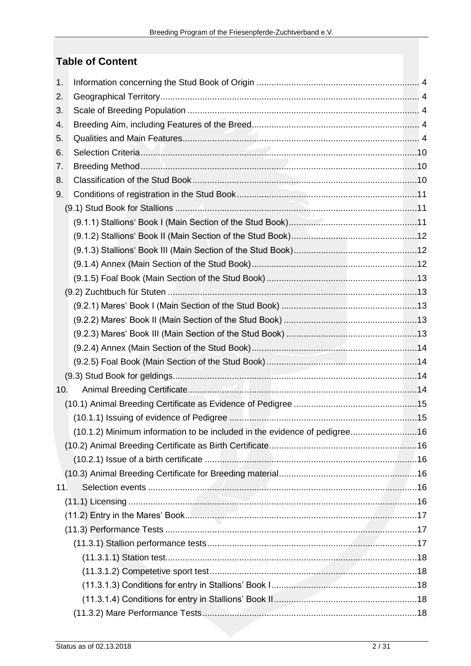## **Table of Content**

| 1.  |                                                                           |  |
|-----|---------------------------------------------------------------------------|--|
| 2.  |                                                                           |  |
| 3.  |                                                                           |  |
| 4.  |                                                                           |  |
| 5.  |                                                                           |  |
| 6.  |                                                                           |  |
| 7.  |                                                                           |  |
| 8.  |                                                                           |  |
| 9.  |                                                                           |  |
|     |                                                                           |  |
|     |                                                                           |  |
|     |                                                                           |  |
|     |                                                                           |  |
|     |                                                                           |  |
|     |                                                                           |  |
|     |                                                                           |  |
|     |                                                                           |  |
|     |                                                                           |  |
|     |                                                                           |  |
|     |                                                                           |  |
|     |                                                                           |  |
|     |                                                                           |  |
| 10. |                                                                           |  |
|     |                                                                           |  |
|     |                                                                           |  |
|     | (10.1.2) Minimum information to be included in the evidence of pedigree16 |  |
|     |                                                                           |  |
|     |                                                                           |  |
|     |                                                                           |  |
| 11. |                                                                           |  |
|     |                                                                           |  |
|     |                                                                           |  |
|     |                                                                           |  |
|     |                                                                           |  |
|     |                                                                           |  |
|     |                                                                           |  |
|     |                                                                           |  |
|     |                                                                           |  |
|     |                                                                           |  |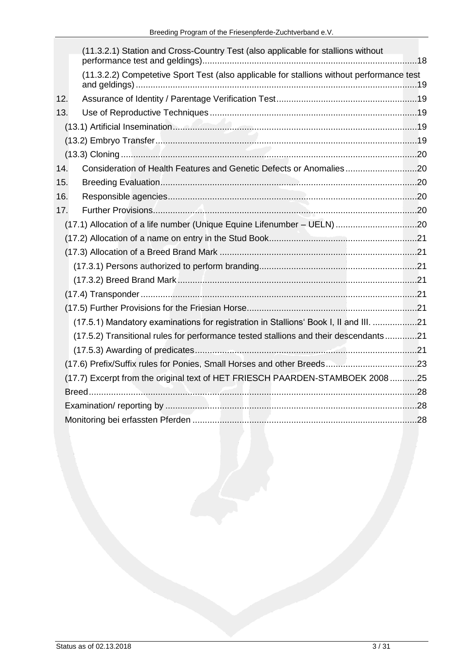|     | (11.3.2.1) Station and Cross-Country Test (also applicable for stallions without          |  |
|-----|-------------------------------------------------------------------------------------------|--|
|     | (11.3.2.2) Competetive Sport Test (also applicable for stallions without performance test |  |
| 12. |                                                                                           |  |
| 13. |                                                                                           |  |
|     |                                                                                           |  |
|     |                                                                                           |  |
|     |                                                                                           |  |
| 14. | Consideration of Health Features and Genetic Defects or Anomalies20                       |  |
| 15. |                                                                                           |  |
| 16. |                                                                                           |  |
| 17. |                                                                                           |  |
|     |                                                                                           |  |
|     |                                                                                           |  |
|     |                                                                                           |  |
|     |                                                                                           |  |
|     |                                                                                           |  |
|     |                                                                                           |  |
|     |                                                                                           |  |
|     | (17.5.1) Mandatory examinations for registration in Stallions' Book I, II and III. 21     |  |
|     | (17.5.2) Transitional rules for performance tested stallions and their descendants21      |  |
|     |                                                                                           |  |
|     |                                                                                           |  |
|     | (17.7) Excerpt from the original text of HET FRIESCH PAARDEN-STAMBOEK 2008 25             |  |
|     |                                                                                           |  |
|     |                                                                                           |  |
|     |                                                                                           |  |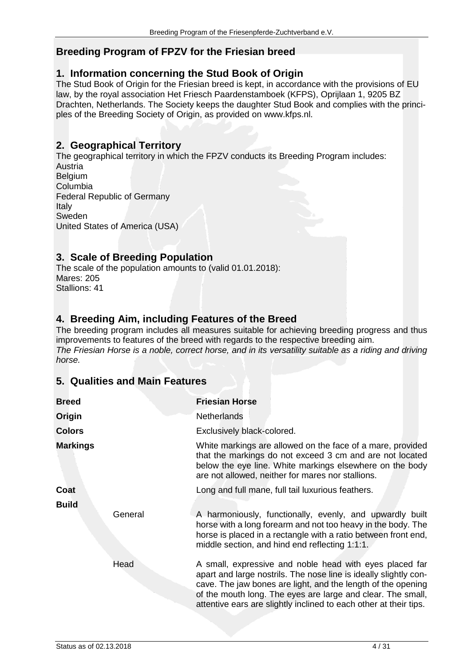## **Breeding Program of FPZV for the Friesian breed**

## <span id="page-3-0"></span>**1. Information concerning the Stud Book of Origin**

The Stud Book of Origin for the Friesian breed is kept, in accordance with the provisions of EU law, by the royal association Het Friesch Paardenstamboek (KFPS), Oprijlaan 1, 9205 BZ Drachten, Netherlands. The Society keeps the daughter Stud Book and complies with the principles of the Breeding Society of Origin, as provided on www.kfps.nl.

## <span id="page-3-1"></span>**2. Geographical Territory**

The geographical territory in which the FPZV conducts its Breeding Program includes: **Austria Belgium** Columbia Federal Republic of Germany Italy Sweden United States of America (USA)

## <span id="page-3-2"></span>**3. Scale of Breeding Population**

The scale of the population amounts to (valid 01.01.2018): Mares: 205 Stallions: 41

## <span id="page-3-3"></span>**4. Breeding Aim, including Features of the Breed**

The breeding program includes all measures suitable for achieving breeding progress and thus improvements to features of the breed with regards to the respective breeding aim. *The Friesian Horse is a noble, correct horse, and in its versatility suitable as a riding and driving horse.*

## <span id="page-3-4"></span>**5. Qualities and Main Features**

| <b>Breed</b>            | <b>Friesian Horse</b>                                                                                                                                                                                                                                                                                                           |
|-------------------------|---------------------------------------------------------------------------------------------------------------------------------------------------------------------------------------------------------------------------------------------------------------------------------------------------------------------------------|
| Origin                  | <b>Netherlands</b>                                                                                                                                                                                                                                                                                                              |
| <b>Colors</b>           | Exclusively black-colored.                                                                                                                                                                                                                                                                                                      |
| <b>Markings</b>         | White markings are allowed on the face of a mare, provided<br>that the markings do not exceed 3 cm and are not located<br>below the eye line. White markings elsewhere on the body<br>are not allowed, neither for mares nor stallions.                                                                                         |
| Coat                    | Long and full mane, full tail luxurious feathers.                                                                                                                                                                                                                                                                               |
| <b>Build</b><br>General | A harmoniously, functionally, evenly, and upwardly built<br>horse with a long forearm and not too heavy in the body. The<br>horse is placed in a rectangle with a ratio between front end,<br>middle section, and hind end reflecting 1:1:1.                                                                                    |
| Head                    | A small, expressive and noble head with eyes placed far<br>apart and large nostrils. The nose line is ideally slightly con-<br>cave. The jaw bones are light, and the length of the opening<br>of the mouth long. The eyes are large and clear. The small,<br>attentive ears are slightly inclined to each other at their tips. |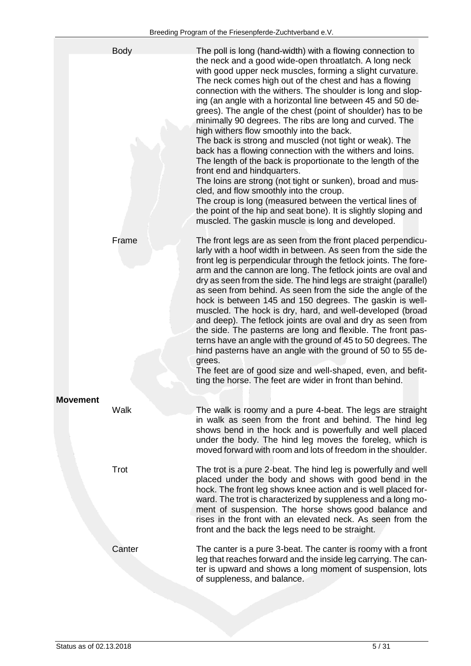|                 | <b>Body</b> | The poll is long (hand-width) with a flowing connection to<br>the neck and a good wide-open throatlatch. A long neck<br>with good upper neck muscles, forming a slight curvature.<br>The neck comes high out of the chest and has a flowing<br>connection with the withers. The shoulder is long and slop-<br>ing (an angle with a horizontal line between 45 and 50 de-<br>grees). The angle of the chest (point of shoulder) has to be<br>minimally 90 degrees. The ribs are long and curved. The<br>high withers flow smoothly into the back.<br>The back is strong and muscled (not tight or weak). The<br>back has a flowing connection with the withers and loins.<br>The length of the back is proportionate to the length of the<br>front end and hindquarters.<br>The loins are strong (not tight or sunken), broad and mus-<br>cled, and flow smoothly into the croup.<br>The croup is long (measured between the vertical lines of<br>the point of the hip and seat bone). It is slightly sloping and<br>muscled. The gaskin muscle is long and developed. |
|-----------------|-------------|-----------------------------------------------------------------------------------------------------------------------------------------------------------------------------------------------------------------------------------------------------------------------------------------------------------------------------------------------------------------------------------------------------------------------------------------------------------------------------------------------------------------------------------------------------------------------------------------------------------------------------------------------------------------------------------------------------------------------------------------------------------------------------------------------------------------------------------------------------------------------------------------------------------------------------------------------------------------------------------------------------------------------------------------------------------------------|
|                 | Frame       | The front legs are as seen from the front placed perpendicu-<br>larly with a hoof width in between. As seen from the side the<br>front leg is perpendicular through the fetlock joints. The fore-<br>arm and the cannon are long. The fetlock joints are oval and<br>dry as seen from the side. The hind legs are straight (parallel)<br>as seen from behind. As seen from the side the angle of the<br>hock is between 145 and 150 degrees. The gaskin is well-<br>muscled. The hock is dry, hard, and well-developed (broad<br>and deep). The fetlock joints are oval and dry as seen from<br>the side. The pasterns are long and flexible. The front pas-<br>terns have an angle with the ground of 45 to 50 degrees. The<br>hind pasterns have an angle with the ground of 50 to 55 de-<br>grees.<br>The feet are of good size and well-shaped, even, and befit-<br>ting the horse. The feet are wider in front than behind.                                                                                                                                      |
| <b>Movement</b> | Walk        | The walk is roomy and a pure 4-beat. The legs are straight<br>in walk as seen from the front and behind. The hind leg<br>shows bend in the hock and is powerfully and well placed<br>under the body. The hind leg moves the foreleg, which is<br>moved forward with room and lots of freedom in the shoulder.                                                                                                                                                                                                                                                                                                                                                                                                                                                                                                                                                                                                                                                                                                                                                         |
|                 | Trot        | The trot is a pure 2-beat. The hind leg is powerfully and well<br>placed under the body and shows with good bend in the<br>hock. The front leg shows knee action and is well placed for-<br>ward. The trot is characterized by suppleness and a long mo-<br>ment of suspension. The horse shows good balance and<br>rises in the front with an elevated neck. As seen from the<br>front and the back the legs need to be straight.                                                                                                                                                                                                                                                                                                                                                                                                                                                                                                                                                                                                                                    |
|                 | Canter      | The canter is a pure 3-beat. The canter is roomy with a front<br>leg that reaches forward and the inside leg carrying. The can-<br>ter is upward and shows a long moment of suspension, lots<br>of suppleness, and balance.                                                                                                                                                                                                                                                                                                                                                                                                                                                                                                                                                                                                                                                                                                                                                                                                                                           |
|                 |             |                                                                                                                                                                                                                                                                                                                                                                                                                                                                                                                                                                                                                                                                                                                                                                                                                                                                                                                                                                                                                                                                       |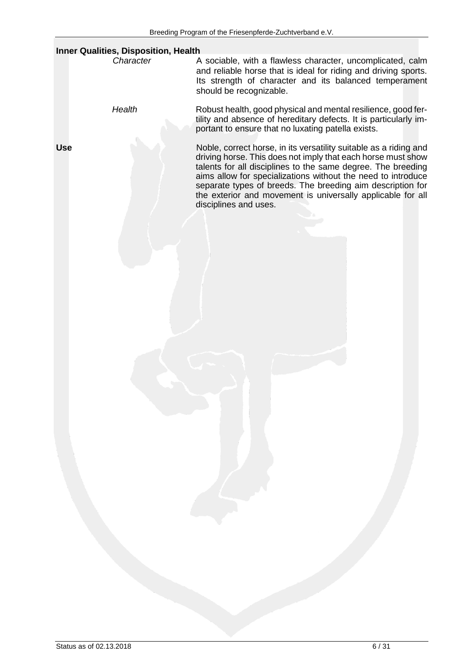|            | <b>Inner Qualities, Disposition, Health</b> |                                                                                                                                                                                                                                                                                                                                                                                                                         |
|------------|---------------------------------------------|-------------------------------------------------------------------------------------------------------------------------------------------------------------------------------------------------------------------------------------------------------------------------------------------------------------------------------------------------------------------------------------------------------------------------|
|            | Character                                   | A sociable, with a flawless character, uncomplicated, calm<br>and reliable horse that is ideal for riding and driving sports.<br>Its strength of character and its balanced temperament<br>should be recognizable.                                                                                                                                                                                                      |
|            | Health                                      | Robust health, good physical and mental resilience, good fer-<br>tility and absence of hereditary defects. It is particularly im-<br>portant to ensure that no luxating patella exists.                                                                                                                                                                                                                                 |
| <b>Use</b> |                                             | Noble, correct horse, in its versatility suitable as a riding and<br>driving horse. This does not imply that each horse must show<br>talents for all disciplines to the same degree. The breeding<br>aims allow for specializations without the need to introduce<br>separate types of breeds. The breeding aim description for<br>the exterior and movement is universally applicable for all<br>disciplines and uses. |
|            |                                             |                                                                                                                                                                                                                                                                                                                                                                                                                         |
|            |                                             |                                                                                                                                                                                                                                                                                                                                                                                                                         |
|            |                                             |                                                                                                                                                                                                                                                                                                                                                                                                                         |
|            |                                             |                                                                                                                                                                                                                                                                                                                                                                                                                         |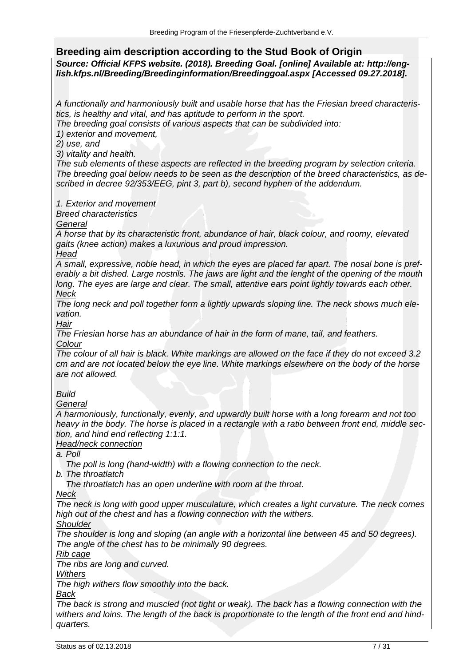## **Breeding aim description according to the Stud Book of Origin**

*Source: Official KFPS website. (2018). Breeding Goal. [online] Available at: http://english.kfps.nl/Breeding/Breedinginformation/Breedinggoal.aspx [Accessed 09.27.2018].*

*A functionally and harmoniously built and usable horse that has the Friesian breed characteristics, is healthy and vital, and has aptitude to perform in the sport.*

*The breeding goal consists of various aspects that can be subdivided into:*

*1) exterior and movement,*

*2) use, and*

*3) vitality and health.*

*The sub elements of these aspects are reflected in the breeding program by selection criteria. The breeding goal below needs to be seen as the description of the breed characteristics, as described in decree 92/353/EEG, pint 3, part b), second hyphen of the addendum.*

*1. Exterior and movement*

*Breed characteristics*

*General*

*A horse that by its characteristic front, abundance of hair, black colour, and roomy, elevated gaits (knee action) makes a luxurious and proud impression.*

*Head*

*A small, expressive, noble head, in which the eyes are placed far apart. The nosal bone is preferably a bit dished. Large nostrils. The jaws are light and the lenght of the opening of the mouth long. The eyes are large and clear. The small, attentive ears point lightly towards each other. Neck*

*The long neck and poll together form a lightly upwards sloping line. The neck shows much elevation.*

*Hair*

*The Friesian horse has an abundance of hair in the form of mane, tail, and feathers. Colour*

*The colour of all hair is black. White markings are allowed on the face if they do not exceed 3.2 cm and are not located below the eye line. White markings elsewhere on the body of the horse are not allowed.*

*Build*

*General*

*A harmoniously, functionally, evenly, and upwardly built horse with a long forearm and not too heavy in the body. The horse is placed in a rectangle with a ratio between front end, middle section, and hind end reflecting 1:1:1.*

*Head/neck connection*

*a. Poll*

 *The poll is long (hand-width) with a flowing connection to the neck.*

*b. The throatlatch*

 *The throatlatch has an open underline with room at the throat.*

*Neck*

*The neck is long with good upper musculature, which creates a light curvature. The neck comes high out of the chest and has a flowing connection with the withers.*

*Shoulder*

*The shoulder is long and sloping (an angle with a horizontal line between 45 and 50 degrees). The angle of the chest has to be minimally 90 degrees.*

*Rib cage*

*The ribs are long and curved.*

*Withers*

*The high withers flow smoothly into the back.*

*Back*

*The back is strong and muscled (not tight or weak). The back has a flowing connection with the withers and loins. The length of the back is proportionate to the length of the front end and hindquarters.*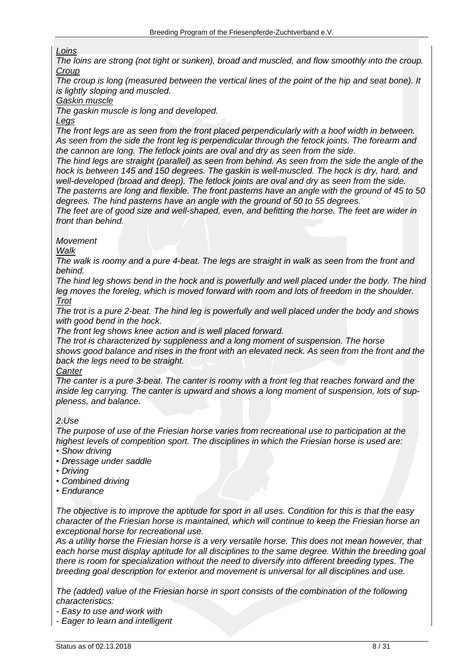#### *Loins*

*The loins are strong (not tight or sunken), broad and muscled, and flow smoothly into the croup. Croup*

*The croup is long (measured between the vertical lines of the point of the hip and seat bone). It is lightly sloping and muscled.*

#### *Gaskin muscle*

*The gaskin muscle is long and developed.*

#### *Legs*

The front legs are as seen from the front placed perpendicularly with a hoof width in between. *As seen from the side the front leg is perpendicular through the fetock joints. The forearm and the cannon are long. The fetlock joints are oval and dry as seen from the side.*

*The hind legs are straight (parallel) as seen from behind. As seen from the side the angle of the*  hock is between 145 and 150 degrees. The gaskin is well-muscled. The hock is dry, hard, and *well-developed (broad and deep). The fetlock joints are oval and dry as seen from the side. The pasterns are long and flexible. The front pasterns have an angle with the ground of 45 to 50* 

*degrees. The hind pasterns have an angle with the ground of 50 to 55 degrees.*

*The feet are of good size and well-shaped, even, and befitting the horse. The feet are wider in front than behind.*

#### *Movement*

*Walk*

*The walk is roomy and a pure 4-beat. The legs are straight in walk as seen from the front and behind.*

*The hind leg shows bend in the hock and is powerfully and well placed under the body. The hind leg moves the foreleg, which is moved forward with room and lots of freedom in the shoulder. Trot*

*The trot is a pure 2-beat. The hind leg is powerfully and well placed under the body and shows with good bend in the hock.*

*The front leg shows knee action and is well placed forward.*

*The trot is characterized by suppleness and a long moment of suspension. The horse shows good balance and rises in the front with an elevated neck. As seen from the front and the back the legs need to be straight.*

#### *Canter*

*The canter is a pure 3-beat. The canter is roomy with a front leg that reaches forward and the inside leg carrying. The canter is upward and shows a long moment of suspension, lots of suppleness, and balance.*

#### *2.Use*

*The purpose of use of the Friesian horse varies from recreational use to participation at the highest levels of competition sport. The disciplines in which the Friesian horse is used are:*

- *• Show driving*
- *• Dressage under saddle*
- *• Driving*
- *• Combined driving*
- *• Endurance*

*The objective is to improve the aptitude for sport in all uses. Condition for this is that the easy character of the Friesian horse is maintained, which will continue to keep the Friesian horse an exceptional horse for recreational use.*

*As a utility horse the Friesian horse is a very versatile horse. This does not mean however, that each horse must display aptitude for all disciplines to the same degree. Within the breeding goal there is room for specialization without the need to diversify into different breeding types. The breeding goal description for exterior and movement is universal for all disciplines and use.*

*The (added) value of the Friesian horse in sport consists of the combination of the following characteristics:*

- *- Easy to use and work with*
- *- Eager to learn and intelligent*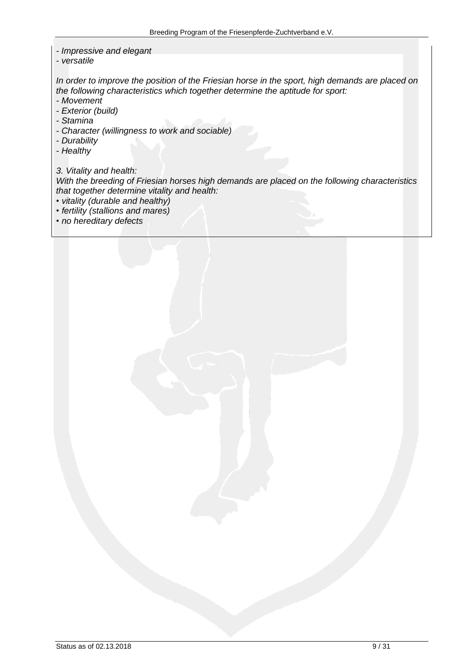- *- Impressive and elegant*
- *- versatile*

*In order to improve the position of the Friesian horse in the sport, high demands are placed on the following characteristics which together determine the aptitude for sport:*

- *- Movement*
- *- Exterior (build)*
- *- Stamina*
- *- Character (willingness to work and sociable)*
- *- Durability*
- *- Healthy*

*3. Vitality and health:*

*With the breeding of Friesian horses high demands are placed on the following characteristics that together determine vitality and health:*

- *• vitality (durable and healthy)*
- *• fertility (stallions and mares)*
- *• no hereditary defects*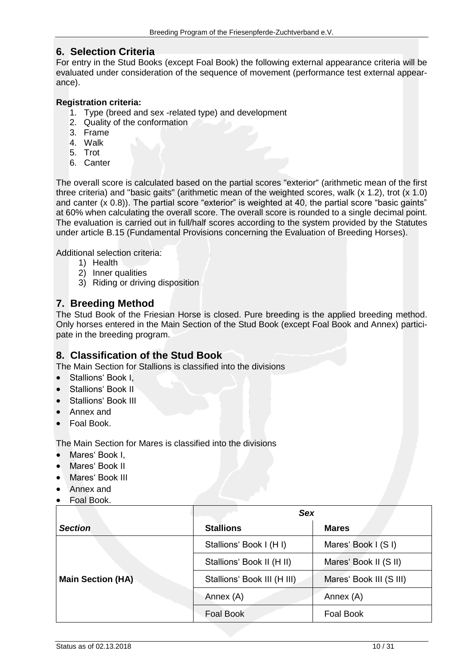## <span id="page-9-0"></span>**6. Selection Criteria**

For entry in the Stud Books (except Foal Book) the following external appearance criteria will be evaluated under consideration of the sequence of movement (performance test external appearance).

#### **Registration criteria:**

- 1. Type (breed and sex -related type) and development
- 2. Quality of the conformation
- 3. Frame
- 4. Walk
- 5. Trot
- 6. Canter

The overall score is calculated based on the partial scores "exterior" (arithmetic mean of the first three criteria) and "basic gaits" (arithmetic mean of the weighted scores, walk (x 1.2), trot (x 1.0) and canter (x 0.8)). The partial score "exterior" is weighted at 40, the partial score "basic gaints" at 60% when calculating the overall score. The overall score is rounded to a single decimal point. The evaluation is carried out in full/half scores according to the system provided by the Statutes under article B.15 (Fundamental Provisions concerning the Evaluation of Breeding Horses).

Additional selection criteria:

- 1) Health
- 2) Inner qualities
- 3) Riding or driving disposition

## <span id="page-9-1"></span>**7. Breeding Method**

The Stud Book of the Friesian Horse is closed. Pure breeding is the applied breeding method. Only horses entered in the Main Section of the Stud Book (except Foal Book and Annex) participate in the breeding program.

## <span id="page-9-2"></span>**8. Classification of the Stud Book**

The Main Section for Stallions is classified into the divisions

- Stallions' Book I,
- Stallions' Book II
- Stallions' Book III
- Annex and
- Foal Book.

The Main Section for Mares is classified into the divisions

- Mares' Book I,
- Mares' Book II
- Mares' Book III
- Annex and
- Foal Book.

|                          | <b>Sex</b>                  |                         |
|--------------------------|-----------------------------|-------------------------|
| <b>Section</b>           | <b>Stallions</b>            | <b>Mares</b>            |
|                          | Stallions' Book I (H I)     | Mares' Book I (S I)     |
|                          | Stallions' Book II (H II)   | Mares' Book II (S II)   |
| <b>Main Section (HA)</b> | Stallions' Book III (H III) | Mares' Book III (S III) |
|                          | Annex (A)                   | Annex (A)               |
|                          | Foal Book                   | Foal Book               |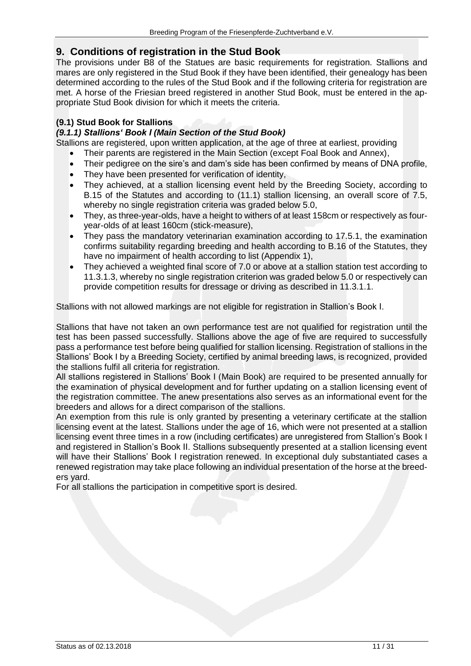## <span id="page-10-0"></span>**9. Conditions of registration in the Stud Book**

The provisions under B8 of the Statues are basic requirements for registration. Stallions and mares are only registered in the Stud Book if they have been identified, their genealogy has been determined according to the rules of the Stud Book and if the following criteria for registration are met. A horse of the Friesian breed registered in another Stud Book, must be entered in the appropriate Stud Book division for which it meets the criteria.

#### <span id="page-10-1"></span>**(9.1) Stud Book for Stallions**

#### <span id="page-10-2"></span>*(9.1.1) Stallions' Book I (Main Section of the Stud Book)*

Stallions are registered, upon written application, at the age of three at earliest, providing

- Their parents are registered in the Main Section (except Foal Book and Annex),
- Their pedigree on the sire's and dam's side has been confirmed by means of DNA profile,
- They have been presented for verification of identity,
- They achieved, at a stallion licensing event held by the Breeding Society, according to B.15 of the Statutes and according to (11.1) stallion licensing, an overall score of 7.5, whereby no single registration criteria was graded below 5.0,
- They, as three-year-olds, have a height to withers of at least 158cm or respectively as fouryear-olds of at least 160cm (stick-measure),
- They pass the mandatory veterinarian examination according to 17.5.1, the examination confirms suitability regarding breeding and health according to B.16 of the Statutes, they have no impairment of health according to list (Appendix 1),
- They achieved a weighted final score of 7.0 or above at a stallion station test according to 11.3.1.3, whereby no single registration criterion was graded below 5.0 or respectively can provide competition results for dressage or driving as described in 11.3.1.1.

Stallions with not allowed markings are not eligible for registration in Stallion's Book I.

Stallions that have not taken an own performance test are not qualified for registration until the test has been passed successfully. Stallions above the age of five are required to successfully pass a performance test before being qualified for stallion licensing. Registration of stallions in the Stallions' Book I by a Breeding Society, certified by animal breeding laws, is recognized, provided the stallions fulfil all criteria for registration.

All stallions registered in Stallions' Book I (Main Book) are required to be presented annually for the examination of physical development and for further updating on a stallion licensing event of the registration committee. The anew presentations also serves as an informational event for the breeders and allows for a direct comparison of the stallions.

An exemption from this rule is only granted by presenting a veterinary certificate at the stallion licensing event at the latest. Stallions under the age of 16, which were not presented at a stallion licensing event three times in a row (including certificates) are unregistered from Stallion's Book I and registered in Stallion's Book II. Stallions subsequently presented at a stallion licensing event will have their Stallions' Book I registration renewed. In exceptional duly substantiated cases a renewed registration may take place following an individual presentation of the horse at the breeders yard.

For all stallions the participation in competitive sport is desired.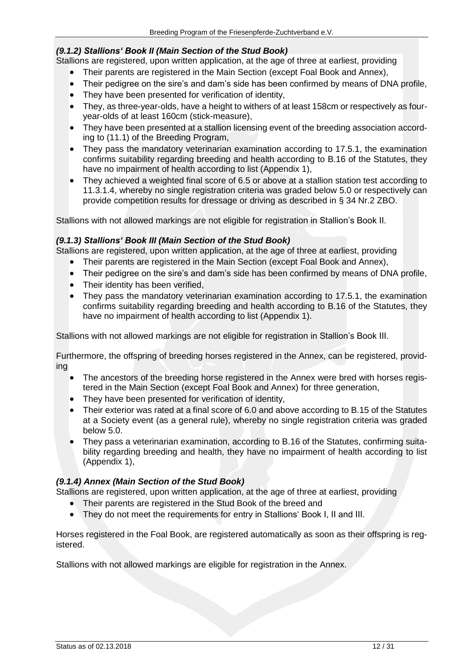#### <span id="page-11-0"></span>*(9.1.2) Stallions' Book II (Main Section of the Stud Book)*

Stallions are registered, upon written application, at the age of three at earliest, providing

- Their parents are registered in the Main Section (except Foal Book and Annex),
- Their pedigree on the sire's and dam's side has been confirmed by means of DNA profile,
- They have been presented for verification of identity,
- They, as three-year-olds, have a height to withers of at least 158cm or respectively as fouryear-olds of at least 160cm (stick-measure),
- They have been presented at a stallion licensing event of the breeding association according to (11.1) of the Breeding Program,
- They pass the mandatory veterinarian examination according to 17.5.1, the examination confirms suitability regarding breeding and health according to B.16 of the Statutes, they have no impairment of health according to list (Appendix 1),
- They achieved a weighted final score of 6.5 or above at a stallion station test according to 11.3.1.4, whereby no single registration criteria was graded below 5.0 or respectively can provide competition results for dressage or driving as described in § 34 Nr.2 ZBO.

Stallions with not allowed markings are not eligible for registration in Stallion's Book II.

#### <span id="page-11-1"></span>*(9.1.3) Stallions' Book III (Main Section of the Stud Book)*

Stallions are registered, upon written application, at the age of three at earliest, providing

- Their parents are registered in the Main Section (except Foal Book and Annex),
- Their pedigree on the sire's and dam's side has been confirmed by means of DNA profile.
- Their identity has been verified,
- They pass the mandatory veterinarian examination according to 17.5.1, the examination confirms suitability regarding breeding and health according to B.16 of the Statutes, they have no impairment of health according to list (Appendix 1).

Stallions with not allowed markings are not eligible for registration in Stallion's Book III.

Furthermore, the offspring of breeding horses registered in the Annex, can be registered, providing

- The ancestors of the breeding horse registered in the Annex were bred with horses registered in the Main Section (except Foal Book and Annex) for three generation,
- They have been presented for verification of identity,
- Their exterior was rated at a final score of 6.0 and above according to B.15 of the Statutes at a Society event (as a general rule), whereby no single registration criteria was graded below 5.0.
- They pass a veterinarian examination, according to B.16 of the Statutes, confirming suitability regarding breeding and health, they have no impairment of health according to list (Appendix 1),

#### <span id="page-11-2"></span>*(9.1.4) Annex (Main Section of the Stud Book)*

Stallions are registered, upon written application, at the age of three at earliest, providing

- Their parents are registered in the Stud Book of the breed and
- They do not meet the requirements for entry in Stallions' Book I, II and III.

Horses registered in the Foal Book, are registered automatically as soon as their offspring is registered.

Stallions with not allowed markings are eligible for registration in the Annex.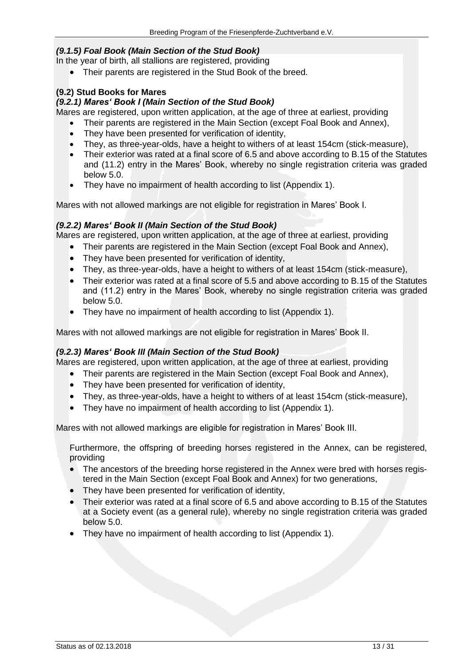#### <span id="page-12-0"></span>*(9.1.5) Foal Book (Main Section of the Stud Book)*

In the year of birth, all stallions are registered, providing

• Their parents are registered in the Stud Book of the breed.

#### <span id="page-12-1"></span>**(9.2) Stud Books for Mares**

#### <span id="page-12-2"></span>*(9.2.1) Mares' Book I (Main Section of the Stud Book)*

Mares are registered, upon written application, at the age of three at earliest, providing

- Their parents are registered in the Main Section (except Foal Book and Annex),
- They have been presented for verification of identity,
- They, as three-year-olds, have a height to withers of at least 154cm (stick-measure),
- Their exterior was rated at a final score of 6.5 and above according to B.15 of the Statutes and (11.2) entry in the Mares' Book, whereby no single registration criteria was graded below 5.0.
- They have no impairment of health according to list (Appendix 1).

Mares with not allowed markings are not eligible for registration in Mares' Book I.

#### <span id="page-12-3"></span>*(9.2.2) Mares' Book II (Main Section of the Stud Book)*

Mares are registered, upon written application, at the age of three at earliest, providing

- Their parents are registered in the Main Section (except Foal Book and Annex),
- They have been presented for verification of identity,
- They, as three-year-olds, have a height to withers of at least 154cm (stick-measure),
- Their exterior was rated at a final score of 5.5 and above according to B.15 of the Statutes and (11.2) entry in the Mares' Book, whereby no single registration criteria was graded below 5.0.
- They have no impairment of health according to list (Appendix 1).

Mares with not allowed markings are not eligible for registration in Mares' Book II.

#### <span id="page-12-4"></span>*(9.2.3) Mares' Book III (Main Section of the Stud Book)*

Mares are registered, upon written application, at the age of three at earliest, providing

- Their parents are registered in the Main Section (except Foal Book and Annex),
- They have been presented for verification of identity,
- They, as three-year-olds, have a height to withers of at least 154cm (stick-measure),
- They have no impairment of health according to list (Appendix 1).

Mares with not allowed markings are eligible for registration in Mares' Book III.

Furthermore, the offspring of breeding horses registered in the Annex, can be registered, providing

- The ancestors of the breeding horse registered in the Annex were bred with horses registered in the Main Section (except Foal Book and Annex) for two generations,
- They have been presented for verification of identity,
- Their exterior was rated at a final score of 6.5 and above according to B.15 of the Statutes at a Society event (as a general rule), whereby no single registration criteria was graded below 5.0.
- They have no impairment of health according to list (Appendix 1).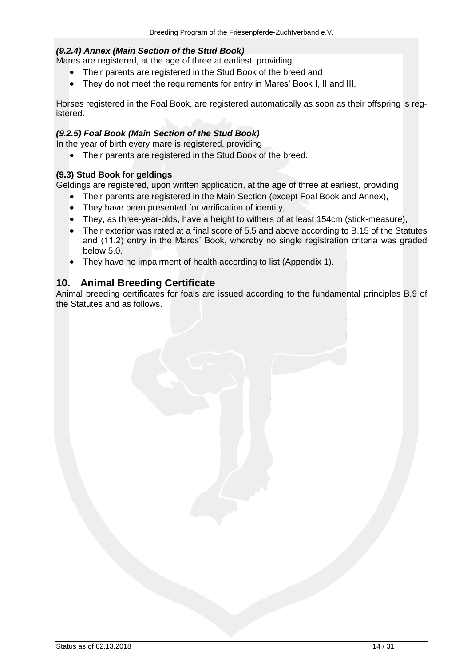#### <span id="page-13-0"></span>*(9.2.4) Annex (Main Section of the Stud Book)*

Mares are registered, at the age of three at earliest, providing

- Their parents are registered in the Stud Book of the breed and
- They do not meet the requirements for entry in Mares' Book I, II and III.

Horses registered in the Foal Book, are registered automatically as soon as their offspring is registered.

#### <span id="page-13-1"></span>*(9.2.5) Foal Book (Main Section of the Stud Book)*

In the year of birth every mare is registered, providing

• Their parents are registered in the Stud Book of the breed.

#### <span id="page-13-2"></span>**(9.3) Stud Book for geldings**

Geldings are registered, upon written application, at the age of three at earliest, providing

- Their parents are registered in the Main Section (except Foal Book and Annex),
- They have been presented for verification of identity,
- They, as three-year-olds, have a height to withers of at least 154cm (stick-measure),
- Their exterior was rated at a final score of 5.5 and above according to B.15 of the Statutes and (11.2) entry in the Mares' Book, whereby no single registration criteria was graded below 5.0.
- They have no impairment of health according to list (Appendix 1).

## <span id="page-13-3"></span>**10. Animal Breeding Certificate**

Animal breeding certificates for foals are issued according to the fundamental principles B.9 of the Statutes and as follows.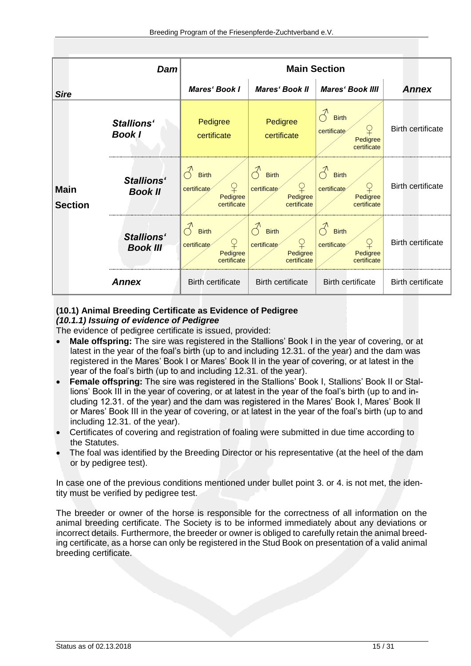|                               | Dam                                  | <b>Main Section</b>                                                      |                                                             |                                                             |                          |
|-------------------------------|--------------------------------------|--------------------------------------------------------------------------|-------------------------------------------------------------|-------------------------------------------------------------|--------------------------|
| <b>Sire</b>                   |                                      | <b>Mares' Book I</b>                                                     | <b>Mares' Book II</b>                                       | <b>Mares' Book IIII</b>                                     | <b>Annex</b>             |
|                               | <b>Stallions'</b><br><b>Book I</b>   | Pedigree<br>certificate                                                  | Pedigree<br>certificate                                     | <b>Birth</b><br>certificate<br>Pedigree<br>certificate      | <b>Birth certificate</b> |
| <b>Main</b><br><b>Section</b> | <b>Stallions'</b><br>Book II         | <b>Birth</b><br>$\overline{P}$<br>certificate<br>Pedigree<br>certificate | <b>Birth</b><br>¥<br>certificate<br>Pedigree<br>certificate | <b>Birth</b><br>certificate<br>キ<br>Pedigree<br>certificate | <b>Birth certificate</b> |
|                               | <b>Stallions'</b><br><b>Book III</b> | <b>Birth</b><br>¥<br>certificate<br>Pedigree<br>certificate              | <b>Birth</b><br>¥<br>certificate<br>Pedigree<br>certificate | <b>Birth</b><br>certificate<br>Pedigree<br>certificate      | <b>Birth certificate</b> |
|                               | <b>Annex</b>                         | <b>Birth certificate</b>                                                 | <b>Birth certificate</b>                                    | <b>Birth certificate</b>                                    | <b>Birth certificate</b> |

## <span id="page-14-0"></span>**(10.1) Animal Breeding Certificate as Evidence of Pedigree**

#### <span id="page-14-1"></span>*(10.1.1) Issuing of evidence of Pedigree*

The evidence of pedigree certificate is issued, provided:

- **Male offspring:** The sire was registered in the Stallions' Book I in the year of covering, or at latest in the year of the foal's birth (up to and including 12.31. of the year) and the dam was registered in the Mares' Book I or Mares' Book II in the year of covering, or at latest in the year of the foal's birth (up to and including 12.31. of the year).
- **Female offspring:** The sire was registered in the Stallions' Book I, Stallions' Book II or Stallions' Book III in the year of covering, or at latest in the year of the foal's birth (up to and including 12.31. of the year) and the dam was registered in the Mares' Book I, Mares' Book II or Mares' Book III in the year of covering, or at latest in the year of the foal's birth (up to and including 12.31. of the year).
- Certificates of covering and registration of foaling were submitted in due time according to the Statutes.
- The foal was identified by the Breeding Director or his representative (at the heel of the dam or by pedigree test).

In case one of the previous conditions mentioned under bullet point 3. or 4. is not met, the identity must be verified by pedigree test.

The breeder or owner of the horse is responsible for the correctness of all information on the animal breeding certificate. The Society is to be informed immediately about any deviations or incorrect details. Furthermore, the breeder or owner is obliged to carefully retain the animal breeding certificate, as a horse can only be registered in the Stud Book on presentation of a valid animal breeding certificate.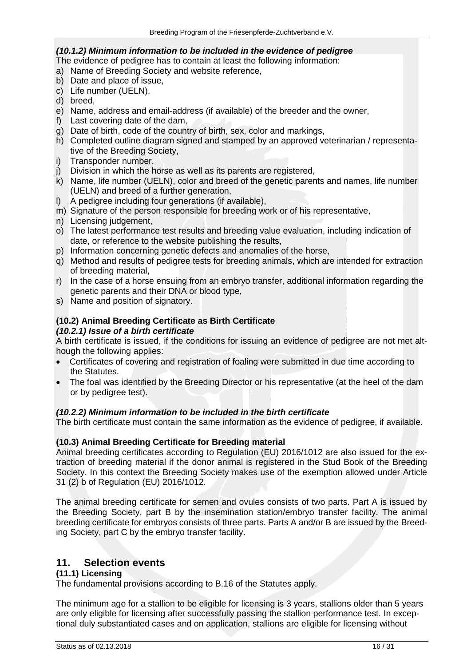#### <span id="page-15-0"></span>*(10.1.2) Minimum information to be included in the evidence of pedigree*

The evidence of pedigree has to contain at least the following information:

- a) Name of Breeding Society and website reference,
- b) Date and place of issue,
- c) Life number (UELN),
- d) breed,
- e) Name, address and email-address (if available) of the breeder and the owner,
- f) Last covering date of the dam,
- g) Date of birth, code of the country of birth, sex, color and markings,
- h) Completed outline diagram signed and stamped by an approved veterinarian / representative of the Breeding Society,
- i) Transponder number,
- j) Division in which the horse as well as its parents are registered,
- k) Name, life number (UELN), color and breed of the genetic parents and names, life number (UELN) and breed of a further generation,
- l) A pedigree including four generations (if available),
- m) Signature of the person responsible for breeding work or of his representative,
- n) Licensing judgement,
- o) The latest performance test results and breeding value evaluation, including indication of date, or reference to the website publishing the results,
- p) Information concerning genetic defects and anomalies of the horse,
- q) Method and results of pedigree tests for breeding animals, which are intended for extraction of breeding material,
- r) In the case of a horse ensuing from an embryo transfer, additional information regarding the genetic parents and their DNA or blood type,
- s) Name and position of signatory.

## <span id="page-15-1"></span>**(10.2) Animal Breeding Certificate as Birth Certificate**

#### <span id="page-15-2"></span>*(10.2.1) Issue of a birth certificate*

A birth certificate is issued, if the conditions for issuing an evidence of pedigree are not met although the following applies:

- Certificates of covering and registration of foaling were submitted in due time according to the Statutes.
- The foal was identified by the Breeding Director or his representative (at the heel of the dam or by pedigree test).

#### *(10.2.2) Minimum information to be included in the birth certificate*

The birth certificate must contain the same information as the evidence of pedigree, if available.

#### <span id="page-15-3"></span>**(10.3) Animal Breeding Certificate for Breeding material**

Animal breeding certificates according to Regulation (EU) 2016/1012 are also issued for the extraction of breeding material if the donor animal is registered in the Stud Book of the Breeding Society. In this context the Breeding Society makes use of the exemption allowed under Article 31 (2) b of Regulation (EU) 2016/1012.

The animal breeding certificate for semen and ovules consists of two parts. Part A is issued by the Breeding Society, part B by the insemination station/embryo transfer facility. The animal breeding certificate for embryos consists of three parts. Parts A and/or B are issued by the Breeding Society, part C by the embryo transfer facility.

## <span id="page-15-4"></span>**11. Selection events**

#### <span id="page-15-5"></span>**(11.1) Licensing**

The fundamental provisions according to B.16 of the Statutes apply.

The minimum age for a stallion to be eligible for licensing is 3 years, stallions older than 5 years are only eligible for licensing after successfully passing the stallion performance test. In exceptional duly substantiated cases and on application, stallions are eligible for licensing without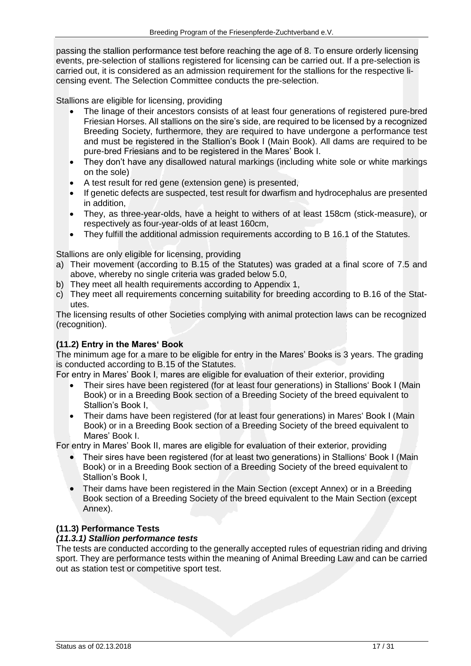passing the stallion performance test before reaching the age of 8. To ensure orderly licensing events, pre-selection of stallions registered for licensing can be carried out. If a pre-selection is carried out, it is considered as an admission requirement for the stallions for the respective licensing event. The Selection Committee conducts the pre-selection.

Stallions are eligible for licensing, providing

- The linage of their ancestors consists of at least four generations of registered pure-bred Friesian Horses. All stallions on the sire's side, are required to be licensed by a recognized Breeding Society, furthermore, they are required to have undergone a performance test and must be registered in the Stallion's Book I (Main Book). All dams are required to be pure-bred Friesians and to be registered in the Mares' Book I.
- They don't have any disallowed natural markings (including white sole or white markings on the sole)
- A test result for red gene (extension gene) is presented,
- If genetic defects are suspected, test result for dwarfism and hydrocephalus are presented in addition,
- They, as three-year-olds, have a height to withers of at least 158cm (stick-measure), or respectively as four-year-olds of at least 160cm,
- They fulfill the additional admission requirements according to B 16.1 of the Statutes.

Stallions are only eligible for licensing, providing

- a) Their movement (according to B.15 of the Statutes) was graded at a final score of 7.5 and above, whereby no single criteria was graded below 5.0,
- b) They meet all health requirements according to Appendix 1,
- c) They meet all requirements concerning suitability for breeding according to B.16 of the Statutes.

The licensing results of other Societies complying with animal protection laws can be recognized (recognition).

#### <span id="page-16-0"></span>**(11.2) Entry in the Mares' Book**

The minimum age for a mare to be eligible for entry in the Mares' Books is 3 years. The grading is conducted according to B.15 of the Statutes.

For entry in Mares' Book I, mares are eligible for evaluation of their exterior, providing

- Their sires have been registered (for at least four generations) in Stallions' Book I (Main Book) or in a Breeding Book section of a Breeding Society of the breed equivalent to Stallion's Book I,
- Their dams have been registered (for at least four generations) in Mares' Book I (Main Book) or in a Breeding Book section of a Breeding Society of the breed equivalent to Mares' Book I.

For entry in Mares' Book II, mares are eligible for evaluation of their exterior, providing

- Their sires have been registered (for at least two generations) in Stallions' Book I (Main Book) or in a Breeding Book section of a Breeding Society of the breed equivalent to Stallion's Book I,
- Their dams have been registered in the Main Section (except Annex) or in a Breeding Book section of a Breeding Society of the breed equivalent to the Main Section (except Annex).

#### <span id="page-16-1"></span>**(11.3) Performance Tests**

#### <span id="page-16-2"></span>*(11.3.1) Stallion performance tests*

The tests are conducted according to the generally accepted rules of equestrian riding and driving sport. They are performance tests within the meaning of Animal Breeding Law and can be carried out as station test or competitive sport test.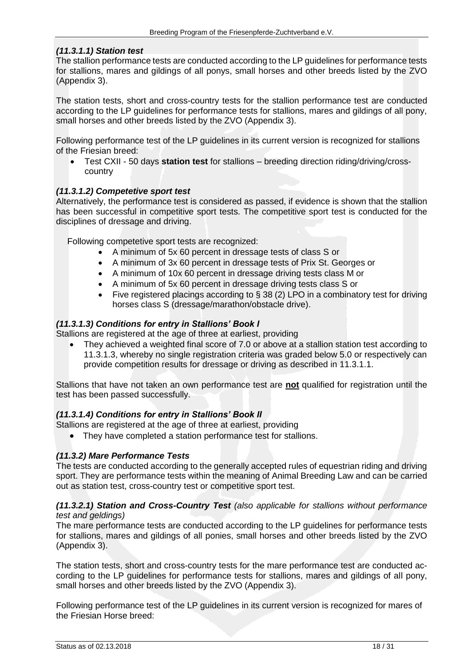#### <span id="page-17-0"></span>*(11.3.1.1) Station test*

The stallion performance tests are conducted according to the LP guidelines for performance tests for stallions, mares and gildings of all ponys, small horses and other breeds listed by the ZVO (Appendix 3).

The station tests, short and cross-country tests for the stallion performance test are conducted according to the LP guidelines for performance tests for stallions, mares and gildings of all pony, small horses and other breeds listed by the ZVO (Appendix 3).

Following performance test of the LP guidelines in its current version is recognized for stallions of the Friesian breed:

• Test CXII - 50 days **station test** for stallions – breeding direction riding/driving/crosscountry

#### <span id="page-17-1"></span>*(11.3.1.2) Competetive sport test*

Alternatively, the performance test is considered as passed, if evidence is shown that the stallion has been successful in competitive sport tests. The competitive sport test is conducted for the disciplines of dressage and driving.

Following competetive sport tests are recognized:

- A minimum of 5x 60 percent in dressage tests of class S or
- A minimum of 3x 60 percent in dressage tests of Prix St. Georges or
- A minimum of 10x 60 percent in dressage driving tests class M or
- A minimum of 5x 60 percent in dressage driving tests class S or
- Five registered placings according to § 38 (2) LPO in a combinatory test for driving horses class S (dressage/marathon/obstacle drive).

#### <span id="page-17-2"></span>*(11.3.1.3) Conditions for entry in Stallions' Book I*

Stallions are registered at the age of three at earliest, providing

• They achieved a weighted final score of 7.0 or above at a stallion station test according to 11.3.1.3, whereby no single registration criteria was graded below 5.0 or respectively can provide competition results for dressage or driving as described in 11.3.1.1.

Stallions that have not taken an own performance test are **not** qualified for registration until the test has been passed successfully.

#### <span id="page-17-3"></span>*(11.3.1.4) Conditions for entry in Stallions' Book II*

Stallions are registered at the age of three at earliest, providing

• They have completed a station performance test for stallions.

#### <span id="page-17-4"></span>*(11.3.2) Mare Performance Tests*

The tests are conducted according to the generally accepted rules of equestrian riding and driving sport. They are performance tests within the meaning of Animal Breeding Law and can be carried out as station test, cross-country test or competitive sport test.

#### <span id="page-17-5"></span>*(11.3.2.1) Station and Cross-Country Test (also applicable for stallions without performance test and geldings)*

The mare performance tests are conducted according to the LP guidelines for performance tests for stallions, mares and gildings of all ponies, small horses and other breeds listed by the ZVO (Appendix 3).

The station tests, short and cross-country tests for the mare performance test are conducted according to the LP guidelines for performance tests for stallions, mares and gildings of all pony, small horses and other breeds listed by the ZVO (Appendix 3).

Following performance test of the LP guidelines in its current version is recognized for mares of the Friesian Horse breed: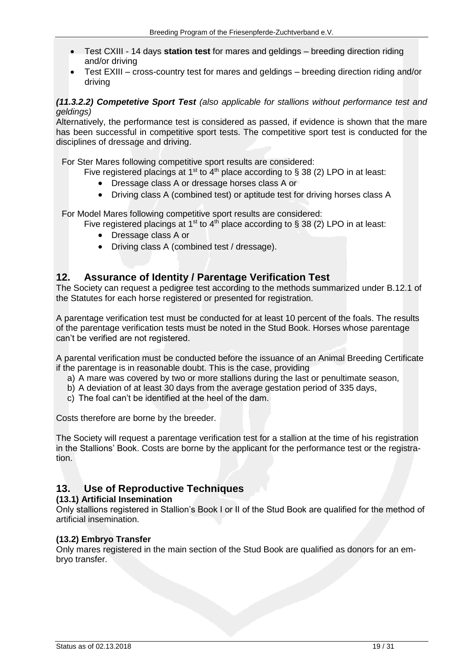- Test CXIII 14 days **station test** for mares and geldings breeding direction riding and/or driving
- Test EXIII cross-country test for mares and geldings breeding direction riding and/or driving

#### <span id="page-18-0"></span>*(11.3.2.2) Competetive Sport Test (also applicable for stallions without performance test and geldings)*

Alternatively, the performance test is considered as passed, if evidence is shown that the mare has been successful in competitive sport tests. The competitive sport test is conducted for the disciplines of dressage and driving.

For Ster Mares following competitive sport results are considered:

Five registered placings at 1<sup>st</sup> to 4<sup>th</sup> place according to § 38 (2) LPO in at least:

- Dressage class A or dressage horses class A or
- Driving class A (combined test) or aptitude test for driving horses class A

For Model Mares following competitive sport results are considered:

Five registered placings at 1<sup>st</sup> to 4<sup>th</sup> place according to § 38 (2) LPO in at least:

- Dressage class A or
- Driving class A (combined test / dressage).

## <span id="page-18-1"></span>**12. Assurance of Identity / Parentage Verification Test**

The Society can request a pedigree test according to the methods summarized under B.12.1 of the Statutes for each horse registered or presented for registration.

A parentage verification test must be conducted for at least 10 percent of the foals. The results of the parentage verification tests must be noted in the Stud Book. Horses whose parentage can't be verified are not registered.

A parental verification must be conducted before the issuance of an Animal Breeding Certificate if the parentage is in reasonable doubt. This is the case, providing

- a) A mare was covered by two or more stallions during the last or penultimate season,
- b) A deviation of at least 30 days from the average gestation period of 335 days,
- c) The foal can't be identified at the heel of the dam.

Costs therefore are borne by the breeder.

The Society will request a parentage verification test for a stallion at the time of his registration in the Stallions' Book. Costs are borne by the applicant for the performance test or the registration.

## <span id="page-18-2"></span>**13. Use of Reproductive Techniques**

#### <span id="page-18-3"></span>**(13.1) Artificial Insemination**

Only stallions registered in Stallion's Book I or II of the Stud Book are qualified for the method of artificial insemination.

#### <span id="page-18-4"></span>**(13.2) Embryo Transfer**

Only mares registered in the main section of the Stud Book are qualified as donors for an embryo transfer.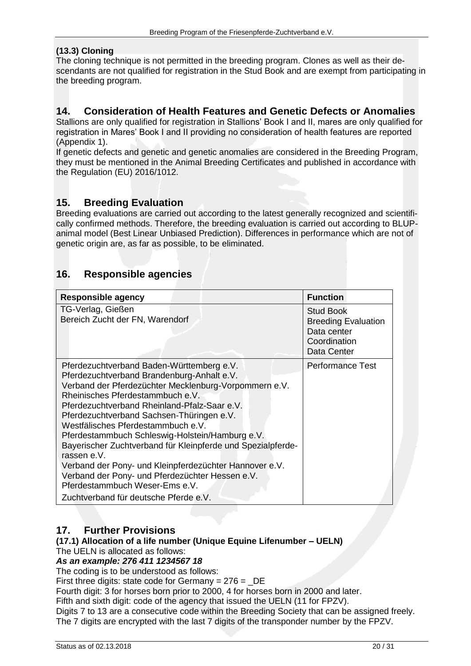#### <span id="page-19-0"></span>**(13.3) Cloning**

The cloning technique is not permitted in the breeding program. Clones as well as their descendants are not qualified for registration in the Stud Book and are exempt from participating in the breeding program.

## <span id="page-19-1"></span>**14. Consideration of Health Features and Genetic Defects or Anomalies**

Stallions are only qualified for registration in Stallions' Book I and II, mares are only qualified for registration in Mares' Book I and II providing no consideration of health features are reported (Appendix 1).

If genetic defects and genetic and genetic anomalies are considered in the Breeding Program, they must be mentioned in the Animal Breeding Certificates and published in accordance with the Regulation (EU) 2016/1012.

## <span id="page-19-2"></span>**15. Breeding Evaluation**

Breeding evaluations are carried out according to the latest generally recognized and scientifically confirmed methods. Therefore, the breeding evaluation is carried out according to BLUPanimal model (Best Linear Unbiased Prediction). Differences in performance which are not of genetic origin are, as far as possible, to be eliminated.

## <span id="page-19-3"></span>**16. Responsible agencies**

| <b>Responsible agency</b>                                                                                                                                                                                                                                                                                                                                                                                                                                                                                                                                                                                                                        | <b>Function</b>                                                                              |
|--------------------------------------------------------------------------------------------------------------------------------------------------------------------------------------------------------------------------------------------------------------------------------------------------------------------------------------------------------------------------------------------------------------------------------------------------------------------------------------------------------------------------------------------------------------------------------------------------------------------------------------------------|----------------------------------------------------------------------------------------------|
| TG-Verlag, Gießen<br>Bereich Zucht der FN, Warendorf                                                                                                                                                                                                                                                                                                                                                                                                                                                                                                                                                                                             | <b>Stud Book</b><br><b>Breeding Evaluation</b><br>Data center<br>Coordination<br>Data Center |
| Pferdezuchtverband Baden-Württemberg e.V.<br>Pferdezuchtverband Brandenburg-Anhalt e.V.<br>Verband der Pferdezüchter Mecklenburg-Vorpommern e.V.<br>Rheinisches Pferdestammbuch e.V.<br>Pferdezuchtverband Rheinland-Pfalz-Saar e.V.<br>Pferdezuchtverband Sachsen-Thüringen e.V.<br>Westfälisches Pferdestammbuch e.V.<br>Pferdestammbuch Schleswig-Holstein/Hamburg e.V.<br>Bayerischer Zuchtverband für Kleinpferde und Spezialpferde-<br>rassen e.V.<br>Verband der Pony- und Kleinpferdezüchter Hannover e.V.<br>Verband der Pony- und Pferdezüchter Hessen e.V.<br>Pferdestammbuch Weser-Ems e.V.<br>Zuchtverband für deutsche Pferde e.V. | <b>Performance Test</b>                                                                      |

## <span id="page-19-4"></span>**17. Further Provisions**

#### <span id="page-19-5"></span>**(17.1) Allocation of a life number (Unique Equine Lifenumber – UELN)**

The UELN is allocated as follows:

#### *As an example: 276 411 1234567 18*

The coding is to be understood as follows:

First three digits: state code for Germany =  $276 = DE$ 

Fourth digit: 3 for horses born prior to 2000, 4 for horses born in 2000 and later.

Fifth and sixth digit: code of the agency that issued the UELN (11 for FPZV).

Digits 7 to 13 are a consecutive code within the Breeding Society that can be assigned freely. The 7 digits are encrypted with the last 7 digits of the transponder number by the FPZV.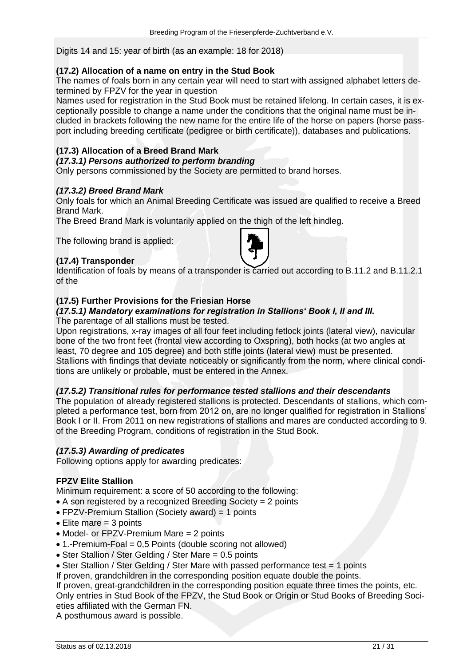Digits 14 and 15: year of birth (as an example: 18 for 2018)

#### <span id="page-20-0"></span>**(17.2) Allocation of a name on entry in the Stud Book**

The names of foals born in any certain year will need to start with assigned alphabet letters determined by FPZV for the year in question

Names used for registration in the Stud Book must be retained lifelong. In certain cases, it is exceptionally possible to change a name under the conditions that the original name must be included in brackets following the new name for the entire life of the horse on papers (horse passport including breeding certificate (pedigree or birth certificate)), databases and publications.

## <span id="page-20-1"></span>**(17.3) Allocation of a Breed Brand Mark**

#### <span id="page-20-2"></span>*(17.3.1) Persons authorized to perform branding*

Only persons commissioned by the Society are permitted to brand horses.

#### <span id="page-20-3"></span>*(17.3.2) Breed Brand Mark*

Only foals for which an Animal Breeding Certificate was issued are qualified to receive a Breed Brand Mark.

The Breed Brand Mark is voluntarily applied on the thigh of the left hindleg.

The following brand is applied:

#### <span id="page-20-4"></span>**(17.4) Transponder**



Identification of foals by means of a transponder is carried out according to B.11.2 and B.11.2.1 of the

#### <span id="page-20-5"></span>**(17.5) Further Provisions for the Friesian Horse**

#### <span id="page-20-6"></span>*(17.5.1) Mandatory examinations for registration in Stallions' Book I, II and III.*

The parentage of all stallions must be tested.

Upon registrations, x-ray images of all four feet including fetlock joints (lateral view), navicular bone of the two front feet (frontal view according to Oxspring), both hocks (at two angles at least, 70 degree and 105 degree) and both stifle joints (lateral view) must be presented. Stallions with findings that deviate noticeably or significantly from the norm, where clinical conditions are unlikely or probable, must be entered in the Annex.

#### <span id="page-20-7"></span>*(17.5.2) Transitional rules for performance tested stallions and their descendants*

The population of already registered stallions is protected. Descendants of stallions, which completed a performance test, born from 2012 on, are no longer qualified for registration in Stallions' Book I or II. From 2011 on new registrations of stallions and mares are conducted according to 9. of the Breeding Program, conditions of registration in the Stud Book.

#### <span id="page-20-8"></span>*(17.5.3) Awarding of predicates*

Following options apply for awarding predicates:

#### **FPZV Elite Stallion**

Minimum requirement: a score of 50 according to the following:

- A son registered by a recognized Breeding Society = 2 points
- FPZV-Premium Stallion (Society award) = 1 points
- $\bullet$  Elite mare = 3 points
- Model- or FPZV-Premium Mare = 2 points
- 1.-Premium-Foal = 0,5 Points (double scoring not allowed)
- Ster Stallion / Ster Gelding / Ster Mare = 0.5 points
- Ster Stallion / Ster Gelding / Ster Mare with passed performance test = 1 points

If proven, grandchildren in the corresponding position equate double the points.

If proven, great-grandchildren in the corresponding position equate three times the points, etc. Only entries in Stud Book of the FPZV, the Stud Book or Origin or Stud Books of Breeding Societies affiliated with the German FN.

A posthumous award is possible.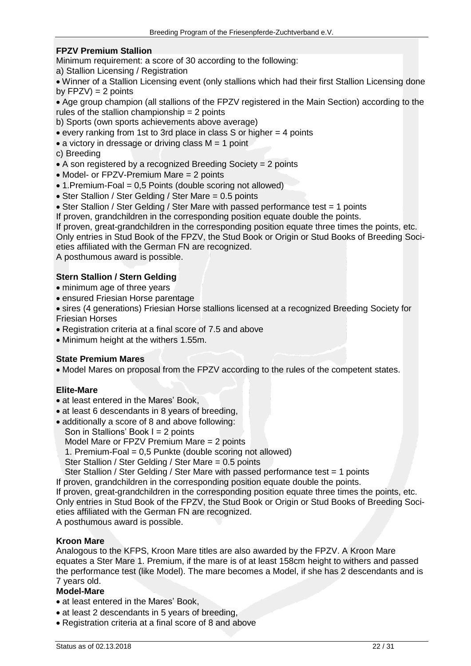#### **FPZV Premium Stallion**

Minimum requirement: a score of 30 according to the following:

a) Stallion Licensing / Registration

• Winner of a Stallion Licensing event (only stallions which had their first Stallion Licensing done by  $FPZV$ ) = 2 points

• Age group champion (all stallions of the FPZV registered in the Main Section) according to the rules of the stallion championship = 2 points

b) Sports (own sports achievements above average)

• every ranking from 1st to 3rd place in class S or higher = 4 points

 $\bullet$  a victory in dressage or driving class  $M = 1$  point

c) Breeding

- A son registered by a recognized Breeding Society = 2 points
- Model- or FPZV-Premium Mare = 2 points
- 1. Premium-Foal = 0,5 Points (double scoring not allowed)
- Ster Stallion / Ster Gelding / Ster Mare = 0.5 points
- Ster Stallion / Ster Gelding / Ster Mare with passed performance test = 1 points

If proven, grandchildren in the corresponding position equate double the points.

If proven, great-grandchildren in the corresponding position equate three times the points, etc.

Only entries in Stud Book of the FPZV, the Stud Book or Origin or Stud Books of Breeding Societies affiliated with the German FN are recognized.

A posthumous award is possible.

#### **Stern Stallion / Stern Gelding**

- minimum age of three years
- ensured Friesian Horse parentage

• sires (4 generations) Friesian Horse stallions licensed at a recognized Breeding Society for Friesian Horses

- Registration criteria at a final score of 7.5 and above
- Minimum height at the withers 1.55m.

#### **State Premium Mares**

• Model Mares on proposal from the FPZV according to the rules of the competent states.

#### **Elite-Mare**

- at least entered in the Mares' Book,
- at least 6 descendants in 8 years of breeding,
- additionally a score of 8 and above following:

Son in Stallions' Book  $I = 2$  points

Model Mare or FPZV Premium Mare = 2 points

1. Premium-Foal = 0,5 Punkte (double scoring not allowed)

Ster Stallion / Ster Gelding / Ster Mare = 0.5 points

Ster Stallion / Ster Gelding / Ster Mare with passed performance test = 1 points

If proven, grandchildren in the corresponding position equate double the points.

If proven, great-grandchildren in the corresponding position equate three times the points, etc. Only entries in Stud Book of the FPZV, the Stud Book or Origin or Stud Books of Breeding Soci-

eties affiliated with the German FN are recognized.

A posthumous award is possible.

#### **Kroon Mare**

Analogous to the KFPS, Kroon Mare titles are also awarded by the FPZV. A Kroon Mare equates a Ster Mare 1. Premium, if the mare is of at least 158cm height to withers and passed the performance test (like Model). The mare becomes a Model, if she has 2 descendants and is 7 years old.

#### **Model-Mare**

- at least entered in the Mares' Book,
- at least 2 descendants in 5 years of breeding,
- Registration criteria at a final score of 8 and above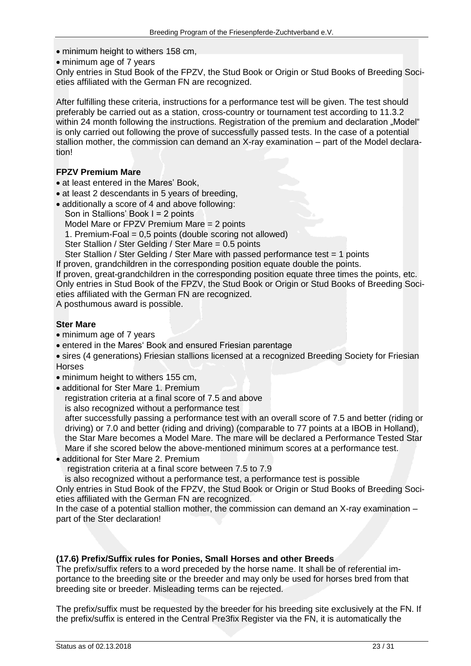• minimum height to withers 158 cm,

• minimum age of 7 years

Only entries in Stud Book of the FPZV, the Stud Book or Origin or Stud Books of Breeding Societies affiliated with the German FN are recognized.

After fulfilling these criteria, instructions for a performance test will be given. The test should preferably be carried out as a station, cross-country or tournament test according to 11.3.2 within 24 month following the instructions. Registration of the premium and declaration "Model" is only carried out following the prove of successfully passed tests. In the case of a potential stallion mother, the commission can demand an X-ray examination – part of the Model declaration!

#### **FPZV Premium Mare**

- at least entered in the Mares' Book,
- at least 2 descendants in 5 years of breeding,
- additionally a score of 4 and above following: Son in Stallions' Book I = 2 points Model Mare or FPZV Premium Mare = 2 points 1. Premium-Foal = 0,5 points (double scoring not allowed)

Ster Stallion / Ster Gelding / Ster Mare = 0.5 points

Ster Stallion / Ster Gelding / Ster Mare with passed performance test = 1 points

If proven, grandchildren in the corresponding position equate double the points.

If proven, great-grandchildren in the corresponding position equate three times the points, etc. Only entries in Stud Book of the FPZV, the Stud Book or Origin or Stud Books of Breeding Societies affiliated with the German FN are recognized.

A posthumous award is possible.

#### **Ster Mare**

- minimum age of 7 years
- entered in the Mares' Book and ensured Friesian parentage
- sires (4 generations) Friesian stallions licensed at a recognized Breeding Society for Friesian **Horses**
- minimum height to withers 155 cm.
- additional for Ster Mare 1. Premium

registration criteria at a final score of 7.5 and above

is also recognized without a performance test

after successfully passing a performance test with an overall score of 7.5 and better (riding or driving) or 7.0 and better (riding and driving) (comparable to 77 points at a IBOB in Holland), the Star Mare becomes a Model Mare. The mare will be declared a Performance Tested Star Mare if she scored below the above-mentioned minimum scores at a performance test. • additional for Ster Mare 2. Premium

registration criteria at a final score between 7.5 to 7.9

is also recognized without a performance test, a performance test is possible

Only entries in Stud Book of the FPZV, the Stud Book or Origin or Stud Books of Breeding Societies affiliated with the German FN are recognized.

In the case of a potential stallion mother, the commission can demand an X-ray examination – part of the Ster declaration!

#### <span id="page-22-0"></span>**(17.6) Prefix/Suffix rules for Ponies, Small Horses and other Breeds**

The prefix/suffix refers to a word preceded by the horse name. It shall be of referential importance to the breeding site or the breeder and may only be used for horses bred from that breeding site or breeder. Misleading terms can be rejected.

The prefix/suffix must be requested by the breeder for his breeding site exclusively at the FN. If the prefix/suffix is entered in the Central Pre3fix Register via the FN, it is automatically the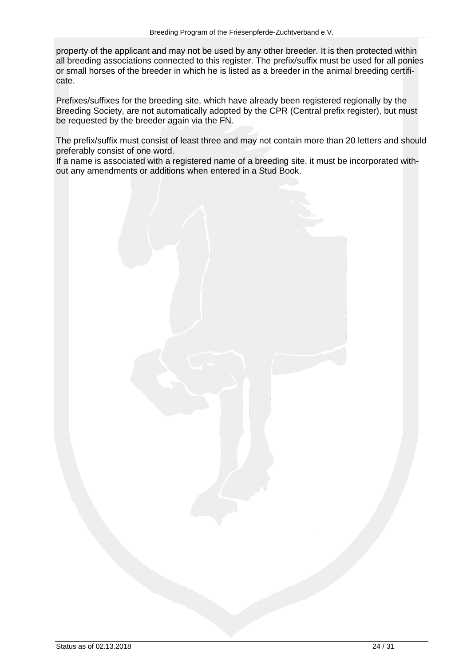property of the applicant and may not be used by any other breeder. It is then protected within all breeding associations connected to this register. The prefix/suffix must be used for all ponies or small horses of the breeder in which he is listed as a breeder in the animal breeding certificate.

Prefixes/suffixes for the breeding site, which have already been registered regionally by the Breeding Society, are not automatically adopted by the CPR (Central prefix register), but must be requested by the breeder again via the FN.

The prefix/suffix must consist of least three and may not contain more than 20 letters and should preferably consist of one word.

If a name is associated with a registered name of a breeding site, it must be incorporated without any amendments or additions when entered in a Stud Book.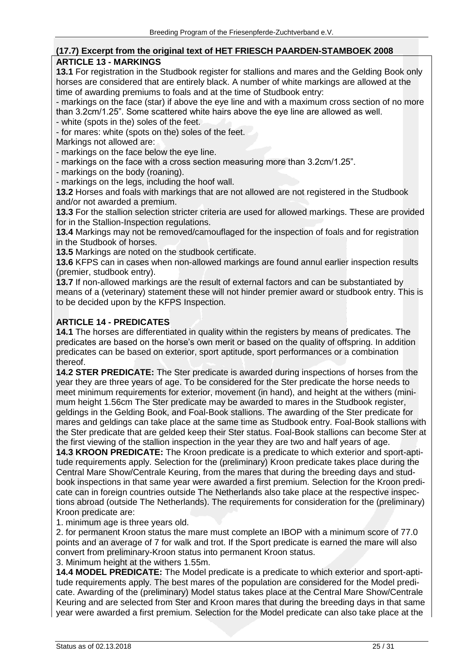#### <span id="page-24-0"></span>**(17.7) Excerpt from the original text of HET FRIESCH PAARDEN-STAMBOEK 2008 ARTICLE 13 - MARKINGS**

**13.1** For registration in the Studbook register for stallions and mares and the Gelding Book only horses are considered that are entirely black. A number of white markings are allowed at the time of awarding premiums to foals and at the time of Studbook entry:

- markings on the face (star) if above the eye line and with a maximum cross section of no more than 3.2cm/1.25". Some scattered white hairs above the eye line are allowed as well.

- white (spots in the) soles of the feet.

- for mares: white (spots on the) soles of the feet.

Markings not allowed are:

- markings on the face below the eye line.

- markings on the face with a cross section measuring more than 3.2cm/1.25".

- markings on the body (roaning).

- markings on the legs, including the hoof wall.

**13.2** Horses and foals with markings that are not allowed are not registered in the Studbook and/or not awarded a premium.

**13.3** For the stallion selection stricter criteria are used for allowed markings. These are provided for in the Stallion-Inspection regulations.

**13.4** Markings may not be removed/camouflaged for the inspection of foals and for registration in the Studbook of horses.

**13.5** Markings are noted on the studbook certificate.

**13.6** KFPS can in cases when non-allowed markings are found annul earlier inspection results (premier, studbook entry).

**13.7** If non-allowed markings are the result of external factors and can be substantiated by means of a (veterinary) statement these will not hinder premier award or studbook entry. This is to be decided upon by the KFPS Inspection.

#### **ARTICLE 14 - PREDICATES**

**14.1** The horses are differentiated in quality within the registers by means of predicates. The predicates are based on the horse's own merit or based on the quality of offspring. In addition predicates can be based on exterior, sport aptitude, sport performances or a combination thereof.

**14.2 STER PREDICATE:** The Ster predicate is awarded during inspections of horses from the year they are three years of age. To be considered for the Ster predicate the horse needs to meet minimum requirements for exterior, movement (in hand), and height at the withers (minimum height 1.56cm The Ster predicate may be awarded to mares in the Studbook register, geldings in the Gelding Book, and Foal-Book stallions. The awarding of the Ster predicate for mares and geldings can take place at the same time as Studbook entry. Foal-Book stallions with the Ster predicate that are gelded keep their Ster status. Foal-Book stallions can become Ster at the first viewing of the stallion inspection in the year they are two and half years of age.

**14.3 KROON PREDICATE:** The Kroon predicate is a predicate to which exterior and sport-aptitude requirements apply. Selection for the (preliminary) Kroon predicate takes place during the Central Mare Show/Centrale Keuring, from the mares that during the breeding days and studbook inspections in that same year were awarded a first premium. Selection for the Kroon predicate can in foreign countries outside The Netherlands also take place at the respective inspections abroad (outside The Netherlands). The requirements for consideration for the (preliminary) Kroon predicate are:

1. minimum age is three years old.

2. for permanent Kroon status the mare must complete an IBOP with a minimum score of 77.0 points and an average of 7 for walk and trot. If the Sport predicate is earned the mare will also convert from preliminary-Kroon status into permanent Kroon status.

3. Minimum height at the withers 1.55m.

**14.4 MODEL PREDICATE:** The Model predicate is a predicate to which exterior and sport-aptitude requirements apply. The best mares of the population are considered for the Model predicate. Awarding of the (preliminary) Model status takes place at the Central Mare Show/Centrale Keuring and are selected from Ster and Kroon mares that during the breeding days in that same year were awarded a first premium. Selection for the Model predicate can also take place at the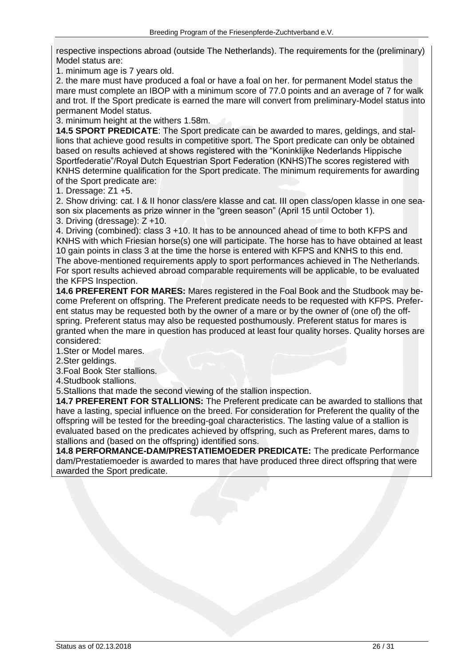respective inspections abroad (outside The Netherlands). The requirements for the (preliminary) Model status are:

1. minimum age is 7 years old.

2. the mare must have produced a foal or have a foal on her. for permanent Model status the mare must complete an IBOP with a minimum score of 77.0 points and an average of 7 for walk and trot. If the Sport predicate is earned the mare will convert from preliminary-Model status into permanent Model status.

3. minimum height at the withers 1.58m.

**14.5 SPORT PREDICATE**: The Sport predicate can be awarded to mares, geldings, and stallions that achieve good results in competitive sport. The Sport predicate can only be obtained based on results achieved at shows registered with the "Koninklijke Nederlands Hippische Sportfederatie"/Royal Dutch Equestrian Sport Federation (KNHS)The scores registered with KNHS determine qualification for the Sport predicate. The minimum requirements for awarding of the Sport predicate are:

1. Dressage: Z1 +5.

2. Show driving: cat. I & II honor class/ere klasse and cat. III open class/open klasse in one season six placements as prize winner in the "green season" (April 15 until October 1).

3. Driving (dressage): Z +10.

4. Driving (combined): class 3 +10. It has to be announced ahead of time to both KFPS and KNHS with which Friesian horse(s) one will participate. The horse has to have obtained at least 10 gain points in class 3 at the time the horse is entered with KFPS and KNHS to this end. The above-mentioned requirements apply to sport performances achieved in The Netherlands. For sport results achieved abroad comparable requirements will be applicable, to be evaluated the KFPS Inspection.

**14.6 PREFERENT FOR MARES:** Mares registered in the Foal Book and the Studbook may become Preferent on offspring. The Preferent predicate needs to be requested with KFPS. Preferent status may be requested both by the owner of a mare or by the owner of (one of) the offspring. Preferent status may also be requested posthumously. Preferent status for mares is granted when the mare in question has produced at least four quality horses. Quality horses are considered:

1.Ster or Model mares.

2. Ster geldings.

3.Foal Book Ster stallions.

4.Studbook stallions.

5.Stallions that made the second viewing of the stallion inspection.

**14.7 PREFERENT FOR STALLIONS:** The Preferent predicate can be awarded to stallions that have a lasting, special influence on the breed. For consideration for Preferent the quality of the offspring will be tested for the breeding-goal characteristics. The lasting value of a stallion is evaluated based on the predicates achieved by offspring, such as Preferent mares, dams to stallions and (based on the offspring) identified sons.

**14.8 PERFORMANCE-DAM/PRESTATIEMOEDER PREDICATE:** The predicate Performance dam/Prestatiemoeder is awarded to mares that have produced three direct offspring that were awarded the Sport predicate.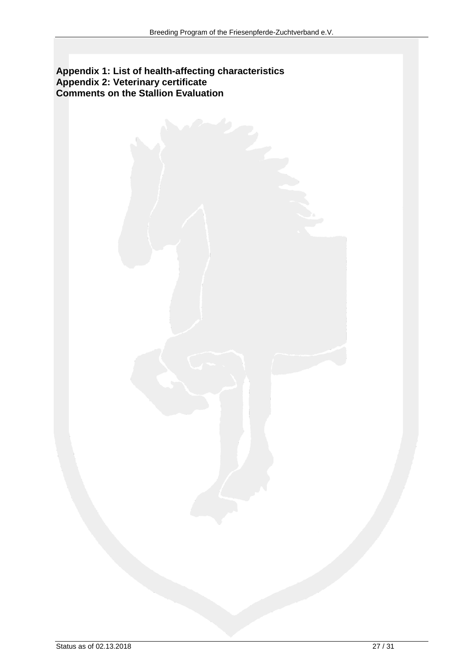#### **Appendix 1: List of health-affecting characteristics Appendix 2: Veterinary certificate Comments on the Stallion Evaluation**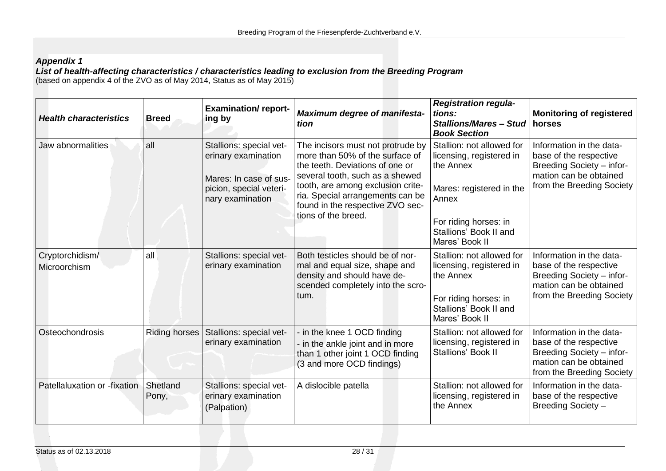## *Appendix 1*

*List of health-affecting characteristics / characteristics leading to exclusion from the Breeding Program*  (based on appendix 4 of the ZVO as of May 2014, Status as of May 2015)

<span id="page-27-2"></span><span id="page-27-1"></span><span id="page-27-0"></span>

| <b>Health characteristics</b>   | <b>Breed</b>      | <b>Examination/report-</b><br>ing by                                                                                    | <b>Maximum degree of manifesta-</b><br>tion                                                                                                                                                                                                                                    | <b>Registration regula-</b><br>tions:<br><b>Stallions/Mares - Stud</b><br><b>Book Section</b>                                                                                | <b>Monitoring of registered</b><br>horses                                                                                                     |
|---------------------------------|-------------------|-------------------------------------------------------------------------------------------------------------------------|--------------------------------------------------------------------------------------------------------------------------------------------------------------------------------------------------------------------------------------------------------------------------------|------------------------------------------------------------------------------------------------------------------------------------------------------------------------------|-----------------------------------------------------------------------------------------------------------------------------------------------|
| Jaw abnormalities               | all               | Stallions: special vet-<br>erinary examination<br>Mares: In case of sus-<br>picion, special veteri-<br>nary examination | The incisors must not protrude by<br>more than 50% of the surface of<br>the teeth. Deviations of one or<br>several tooth, such as a shewed<br>tooth, are among exclusion crite-<br>ria. Special arrangements can be<br>found in the respective ZVO sec-<br>tions of the breed. | Stallion: not allowed for<br>licensing, registered in<br>the Annex<br>Mares: registered in the<br>Annex<br>For riding horses: in<br>Stallions' Book II and<br>Mares' Book II | Information in the data-<br>base of the respective<br><b>Breeding Society - infor-</b><br>mation can be obtained<br>from the Breeding Society |
| Cryptorchidism/<br>Microorchism | all               | Stallions: special vet-<br>erinary examination                                                                          | Both testicles should be of nor-<br>mal and equal size, shape and<br>density and should have de-<br>scended completely into the scro-<br>tum.                                                                                                                                  | Stallion: not allowed for<br>licensing, registered in<br>the Annex<br>For riding horses: in<br>Stallions' Book II and<br>Mares' Book II                                      | Information in the data-<br>base of the respective<br><b>Breeding Society - infor-</b><br>mation can be obtained<br>from the Breeding Society |
| Osteochondrosis                 |                   | Riding horses   Stallions: special vet-<br>erinary examination                                                          | in the knee 1 OCD finding<br>in the ankle joint and in more<br>than 1 other joint 1 OCD finding<br>(3 and more OCD findings)                                                                                                                                                   | Stallion: not allowed for<br>licensing, registered in<br>Stallions' Book II                                                                                                  | Information in the data-<br>base of the respective<br>Breeding Society - infor-<br>mation can be obtained<br>from the Breeding Society        |
| Patellaluxation or -fixation    | Shetland<br>Pony, | Stallions: special vet-<br>erinary examination<br>(Palpation)                                                           | A dislocible patella                                                                                                                                                                                                                                                           | Stallion: not allowed for<br>licensing, registered in<br>the Annex                                                                                                           | Information in the data-<br>base of the respective<br>Breeding Society -                                                                      |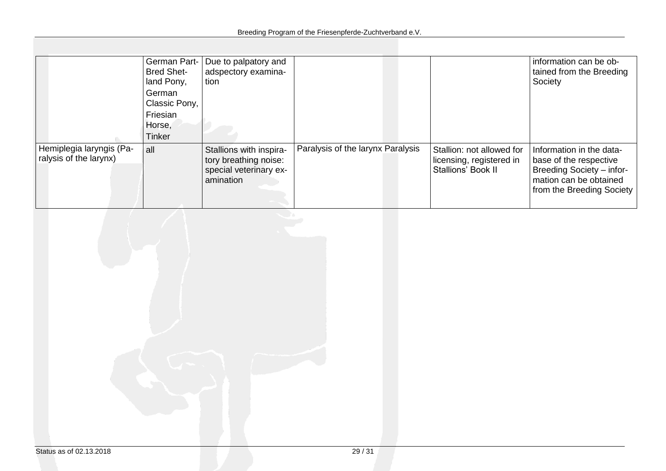|                                                    | German Part-<br><b>Bred Shet-</b><br>land Pony,<br>German<br>Classic Pony,<br>Friesian<br>Horse,<br><b>Tinker</b> | Due to palpatory and<br>adspectory examina-<br>tion                                     |                                   |                                                                             | information can be ob-<br>tained from the Breeding<br>Society                                                                          |
|----------------------------------------------------|-------------------------------------------------------------------------------------------------------------------|-----------------------------------------------------------------------------------------|-----------------------------------|-----------------------------------------------------------------------------|----------------------------------------------------------------------------------------------------------------------------------------|
| Hemiplegia laryngis (Pa-<br>ralysis of the larynx) | all                                                                                                               | Stallions with inspira-<br>tory breathing noise:<br>special veterinary ex-<br>amination | Paralysis of the larynx Paralysis | Stallion: not allowed for<br>licensing, registered in<br>Stallions' Book II | Information in the data-<br>base of the respective<br>Breeding Society - infor-<br>mation can be obtained<br>from the Breeding Society |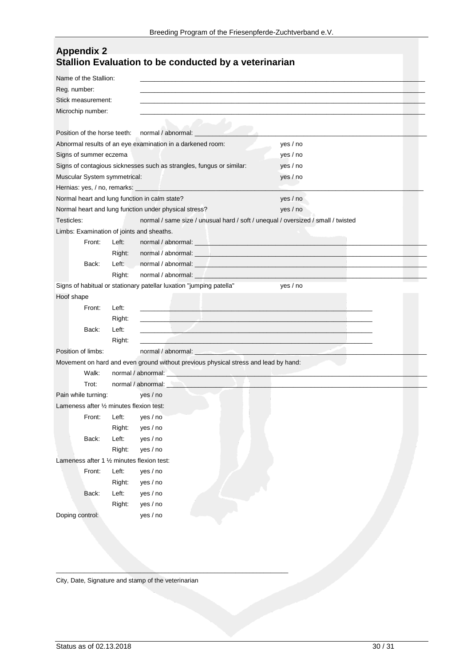| <b>Appendix 2</b>                                     |  |
|-------------------------------------------------------|--|
| Stallion Evaluation to be conducted by a veterinarian |  |

| Reg. number:<br>Stick measurement:<br>Microchip number:<br>Position of the horse teeth:<br>normal / abnormal: _<br>Abnormal results of an eye examination in a darkened room:<br>yes / no<br>Signs of summer eczema<br>yes / no<br>Signs of contagious sicknesses such as strangles, fungus or similar:<br>yes / no<br>Muscular System symmetrical:<br>yes / no<br>Hernias: yes, / no, remarks: _<br>Normal heart and lung function in calm state?<br>yes / no<br>Normal heart and lung function under physical stress?<br>yes / no<br>Testicles:<br>normal / same size / unusual hard / soft / unequal / oversized / small / twisted<br>Limbs: Examination of joints and sheaths.<br>Front:<br>Left:<br>normal / abnormal: expression and abnormal absolution of the state of the state of the state of the state of the state of the state of the state of the state of the state of the state of the state of the state of the state<br>Right:<br>normal / abnormal: experience of the state of the state of the state of the state of the state of the state of<br>Back:<br>Left:<br>normal / abnormal: experience and a series of the series of the series of the series of the series of the series of the series of the series of the series of the series of the series of the series of the series of the seri<br>Right:<br>normal / abnormal: ____<br>Signs of habitual or stationary patellar luxation "jumping patella"<br>yes / no<br>Hoof shape<br>Front:<br>Left:<br>Right:<br><u> 1989 - Johann Stein, Amerikaansk politiker († 1908)</u><br>Back:<br>Left:<br>Right: | Name of the Stallion: |  |
|---------------------------------------------------------------------------------------------------------------------------------------------------------------------------------------------------------------------------------------------------------------------------------------------------------------------------------------------------------------------------------------------------------------------------------------------------------------------------------------------------------------------------------------------------------------------------------------------------------------------------------------------------------------------------------------------------------------------------------------------------------------------------------------------------------------------------------------------------------------------------------------------------------------------------------------------------------------------------------------------------------------------------------------------------------------------------------------------------------------------------------------------------------------------------------------------------------------------------------------------------------------------------------------------------------------------------------------------------------------------------------------------------------------------------------------------------------------------------------------------------------------------------------------------------------------------------------------|-----------------------|--|
|                                                                                                                                                                                                                                                                                                                                                                                                                                                                                                                                                                                                                                                                                                                                                                                                                                                                                                                                                                                                                                                                                                                                                                                                                                                                                                                                                                                                                                                                                                                                                                                       |                       |  |
|                                                                                                                                                                                                                                                                                                                                                                                                                                                                                                                                                                                                                                                                                                                                                                                                                                                                                                                                                                                                                                                                                                                                                                                                                                                                                                                                                                                                                                                                                                                                                                                       |                       |  |
|                                                                                                                                                                                                                                                                                                                                                                                                                                                                                                                                                                                                                                                                                                                                                                                                                                                                                                                                                                                                                                                                                                                                                                                                                                                                                                                                                                                                                                                                                                                                                                                       |                       |  |
|                                                                                                                                                                                                                                                                                                                                                                                                                                                                                                                                                                                                                                                                                                                                                                                                                                                                                                                                                                                                                                                                                                                                                                                                                                                                                                                                                                                                                                                                                                                                                                                       |                       |  |
|                                                                                                                                                                                                                                                                                                                                                                                                                                                                                                                                                                                                                                                                                                                                                                                                                                                                                                                                                                                                                                                                                                                                                                                                                                                                                                                                                                                                                                                                                                                                                                                       |                       |  |
|                                                                                                                                                                                                                                                                                                                                                                                                                                                                                                                                                                                                                                                                                                                                                                                                                                                                                                                                                                                                                                                                                                                                                                                                                                                                                                                                                                                                                                                                                                                                                                                       |                       |  |
|                                                                                                                                                                                                                                                                                                                                                                                                                                                                                                                                                                                                                                                                                                                                                                                                                                                                                                                                                                                                                                                                                                                                                                                                                                                                                                                                                                                                                                                                                                                                                                                       |                       |  |
|                                                                                                                                                                                                                                                                                                                                                                                                                                                                                                                                                                                                                                                                                                                                                                                                                                                                                                                                                                                                                                                                                                                                                                                                                                                                                                                                                                                                                                                                                                                                                                                       |                       |  |
|                                                                                                                                                                                                                                                                                                                                                                                                                                                                                                                                                                                                                                                                                                                                                                                                                                                                                                                                                                                                                                                                                                                                                                                                                                                                                                                                                                                                                                                                                                                                                                                       |                       |  |
|                                                                                                                                                                                                                                                                                                                                                                                                                                                                                                                                                                                                                                                                                                                                                                                                                                                                                                                                                                                                                                                                                                                                                                                                                                                                                                                                                                                                                                                                                                                                                                                       |                       |  |
|                                                                                                                                                                                                                                                                                                                                                                                                                                                                                                                                                                                                                                                                                                                                                                                                                                                                                                                                                                                                                                                                                                                                                                                                                                                                                                                                                                                                                                                                                                                                                                                       |                       |  |
|                                                                                                                                                                                                                                                                                                                                                                                                                                                                                                                                                                                                                                                                                                                                                                                                                                                                                                                                                                                                                                                                                                                                                                                                                                                                                                                                                                                                                                                                                                                                                                                       |                       |  |
|                                                                                                                                                                                                                                                                                                                                                                                                                                                                                                                                                                                                                                                                                                                                                                                                                                                                                                                                                                                                                                                                                                                                                                                                                                                                                                                                                                                                                                                                                                                                                                                       |                       |  |
|                                                                                                                                                                                                                                                                                                                                                                                                                                                                                                                                                                                                                                                                                                                                                                                                                                                                                                                                                                                                                                                                                                                                                                                                                                                                                                                                                                                                                                                                                                                                                                                       |                       |  |
|                                                                                                                                                                                                                                                                                                                                                                                                                                                                                                                                                                                                                                                                                                                                                                                                                                                                                                                                                                                                                                                                                                                                                                                                                                                                                                                                                                                                                                                                                                                                                                                       |                       |  |
|                                                                                                                                                                                                                                                                                                                                                                                                                                                                                                                                                                                                                                                                                                                                                                                                                                                                                                                                                                                                                                                                                                                                                                                                                                                                                                                                                                                                                                                                                                                                                                                       |                       |  |
|                                                                                                                                                                                                                                                                                                                                                                                                                                                                                                                                                                                                                                                                                                                                                                                                                                                                                                                                                                                                                                                                                                                                                                                                                                                                                                                                                                                                                                                                                                                                                                                       |                       |  |
|                                                                                                                                                                                                                                                                                                                                                                                                                                                                                                                                                                                                                                                                                                                                                                                                                                                                                                                                                                                                                                                                                                                                                                                                                                                                                                                                                                                                                                                                                                                                                                                       |                       |  |
|                                                                                                                                                                                                                                                                                                                                                                                                                                                                                                                                                                                                                                                                                                                                                                                                                                                                                                                                                                                                                                                                                                                                                                                                                                                                                                                                                                                                                                                                                                                                                                                       |                       |  |
|                                                                                                                                                                                                                                                                                                                                                                                                                                                                                                                                                                                                                                                                                                                                                                                                                                                                                                                                                                                                                                                                                                                                                                                                                                                                                                                                                                                                                                                                                                                                                                                       |                       |  |
|                                                                                                                                                                                                                                                                                                                                                                                                                                                                                                                                                                                                                                                                                                                                                                                                                                                                                                                                                                                                                                                                                                                                                                                                                                                                                                                                                                                                                                                                                                                                                                                       |                       |  |
|                                                                                                                                                                                                                                                                                                                                                                                                                                                                                                                                                                                                                                                                                                                                                                                                                                                                                                                                                                                                                                                                                                                                                                                                                                                                                                                                                                                                                                                                                                                                                                                       |                       |  |
|                                                                                                                                                                                                                                                                                                                                                                                                                                                                                                                                                                                                                                                                                                                                                                                                                                                                                                                                                                                                                                                                                                                                                                                                                                                                                                                                                                                                                                                                                                                                                                                       |                       |  |
|                                                                                                                                                                                                                                                                                                                                                                                                                                                                                                                                                                                                                                                                                                                                                                                                                                                                                                                                                                                                                                                                                                                                                                                                                                                                                                                                                                                                                                                                                                                                                                                       |                       |  |
| Position of limbs:<br>normal / abnormal: experience of the contract of the contract of the contract of the contract of the contract of the contract of the contract of the contract of the contract of the contract of the contract of the contract                                                                                                                                                                                                                                                                                                                                                                                                                                                                                                                                                                                                                                                                                                                                                                                                                                                                                                                                                                                                                                                                                                                                                                                                                                                                                                                                   |                       |  |
| Movement on hard and even ground without previous physical stress and lead by hand:                                                                                                                                                                                                                                                                                                                                                                                                                                                                                                                                                                                                                                                                                                                                                                                                                                                                                                                                                                                                                                                                                                                                                                                                                                                                                                                                                                                                                                                                                                   |                       |  |
| Walk:<br>normal / abnormal: <b>All and All and All and All and All and All and All and All and All and All and All and All and All and All and All and All and All and All and All and All and All and All and All and All and All and Al</b>                                                                                                                                                                                                                                                                                                                                                                                                                                                                                                                                                                                                                                                                                                                                                                                                                                                                                                                                                                                                                                                                                                                                                                                                                                                                                                                                         |                       |  |
| normal / abnormal:<br>Trot:                                                                                                                                                                                                                                                                                                                                                                                                                                                                                                                                                                                                                                                                                                                                                                                                                                                                                                                                                                                                                                                                                                                                                                                                                                                                                                                                                                                                                                                                                                                                                           |                       |  |
| Pain while turning:<br>yes / no                                                                                                                                                                                                                                                                                                                                                                                                                                                                                                                                                                                                                                                                                                                                                                                                                                                                                                                                                                                                                                                                                                                                                                                                                                                                                                                                                                                                                                                                                                                                                       |                       |  |
| Lameness after 1/2 minutes flexion test:                                                                                                                                                                                                                                                                                                                                                                                                                                                                                                                                                                                                                                                                                                                                                                                                                                                                                                                                                                                                                                                                                                                                                                                                                                                                                                                                                                                                                                                                                                                                              |                       |  |
| Front:<br>Left:<br>yes / no                                                                                                                                                                                                                                                                                                                                                                                                                                                                                                                                                                                                                                                                                                                                                                                                                                                                                                                                                                                                                                                                                                                                                                                                                                                                                                                                                                                                                                                                                                                                                           |                       |  |
| Right:<br>yes / no                                                                                                                                                                                                                                                                                                                                                                                                                                                                                                                                                                                                                                                                                                                                                                                                                                                                                                                                                                                                                                                                                                                                                                                                                                                                                                                                                                                                                                                                                                                                                                    |                       |  |
| Back:<br>Left:<br>yes / no                                                                                                                                                                                                                                                                                                                                                                                                                                                                                                                                                                                                                                                                                                                                                                                                                                                                                                                                                                                                                                                                                                                                                                                                                                                                                                                                                                                                                                                                                                                                                            |                       |  |
| Right:<br>yes / no                                                                                                                                                                                                                                                                                                                                                                                                                                                                                                                                                                                                                                                                                                                                                                                                                                                                                                                                                                                                                                                                                                                                                                                                                                                                                                                                                                                                                                                                                                                                                                    |                       |  |
| Lameness after 1 1/2 minutes flexion test:                                                                                                                                                                                                                                                                                                                                                                                                                                                                                                                                                                                                                                                                                                                                                                                                                                                                                                                                                                                                                                                                                                                                                                                                                                                                                                                                                                                                                                                                                                                                            |                       |  |
| Front:<br>Left:<br>yes / no                                                                                                                                                                                                                                                                                                                                                                                                                                                                                                                                                                                                                                                                                                                                                                                                                                                                                                                                                                                                                                                                                                                                                                                                                                                                                                                                                                                                                                                                                                                                                           |                       |  |
| Right:<br>yes / no                                                                                                                                                                                                                                                                                                                                                                                                                                                                                                                                                                                                                                                                                                                                                                                                                                                                                                                                                                                                                                                                                                                                                                                                                                                                                                                                                                                                                                                                                                                                                                    |                       |  |
| Left:<br>Back:<br>yes / no                                                                                                                                                                                                                                                                                                                                                                                                                                                                                                                                                                                                                                                                                                                                                                                                                                                                                                                                                                                                                                                                                                                                                                                                                                                                                                                                                                                                                                                                                                                                                            |                       |  |
| Right:<br>yes / no                                                                                                                                                                                                                                                                                                                                                                                                                                                                                                                                                                                                                                                                                                                                                                                                                                                                                                                                                                                                                                                                                                                                                                                                                                                                                                                                                                                                                                                                                                                                                                    |                       |  |
| Doping control:<br>yes / no                                                                                                                                                                                                                                                                                                                                                                                                                                                                                                                                                                                                                                                                                                                                                                                                                                                                                                                                                                                                                                                                                                                                                                                                                                                                                                                                                                                                                                                                                                                                                           |                       |  |

City, Date, Signature and stamp of the veterinarian

\_\_\_\_\_\_\_\_\_\_\_\_\_\_\_\_\_\_\_\_\_\_\_\_\_\_\_\_\_\_\_\_\_\_\_\_\_\_\_\_\_\_\_\_\_\_\_\_\_\_\_\_\_\_\_\_\_\_\_\_\_\_\_\_\_\_